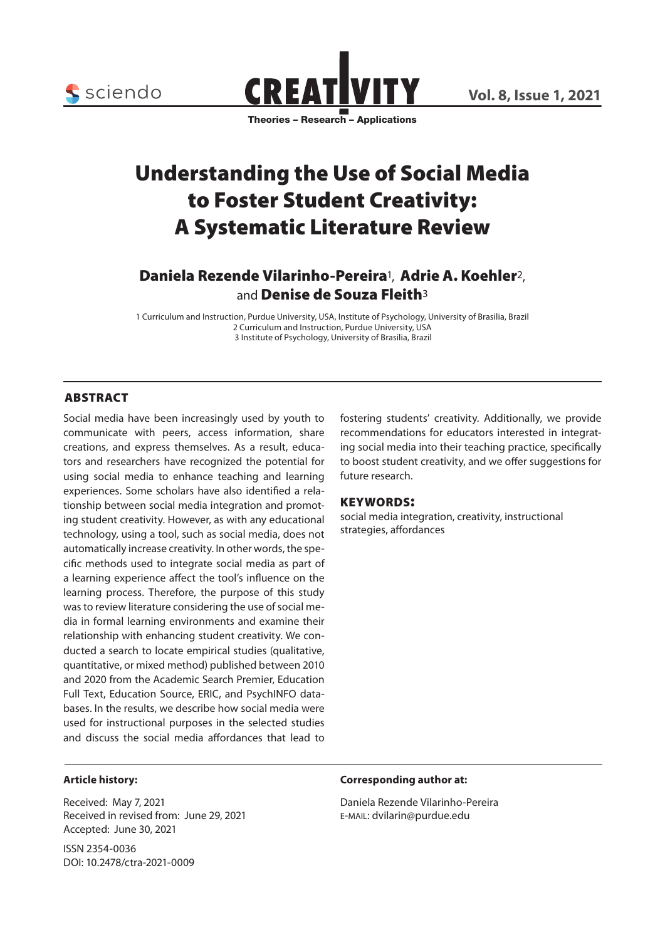

Theories – Research – Applications

# Understanding the Use of Social Media to Foster Student Creativity: A Systematic Literature Review

# Daniela Rezende Vilarinho-Pereira<sup>1</sup>, Adrie A. Koehler<sup>2</sup>, and **Denise de Souza Fleith**<sup>3</sup>

1 Curriculum and Instruction, Purdue University, USA, Institute of Psychology, University of Brasilia, Brazil 2 Curriculum and Instruction, Purdue University, USA 3 Institute of Psychology, University of Brasilia, Brazil

# **ABSTRACT**

Social media have been increasingly used by youth to communicate with peers, access information, share creations, and express themselves. As a result, educators and researchers have recognized the potential for using social media to enhance teaching and learning experiences. Some scholars have also identified a relationship between social media integration and promoting student creativity. However, as with any educational technology, using a tool, such as social media, does not automatically increase creativity. In other words, the specific methods used to integrate social media as part of a learning experience affect the tool's influence on the learning process. Therefore, the purpose of this study was to review literature considering the use of social media in formal learning environments and examine their relationship with enhancing student creativity. We conducted a search to locate empirical studies (qualitative, quantitative, or mixed method) published between 2010 and 2020 from the Academic Search Premier, Education Full Text, Education Source, ERIC, and PsychINFO databases. In the results, we describe how social media were used for instructional purposes in the selected studies and discuss the social media affordances that lead to

fostering students' creativity. Additionally, we provide recommendations for educators interested in integrating social media into their teaching practice, specifically to boost student creativity, and we offer suggestions for future research.

### keywords:

social media integration, creativity, instructional strategies, affordances

#### **Article history:**

Received: May 7, 2021 Received in revised from: June 29, 2021 Accepted: June 30, 2021

ISSN 2354-0036 DOI: 10.2478/ctra-2021-0009

#### **Corresponding author at:**

Daniela Rezende Vilarinho-Pereira e-mail: dvilarin@purdue.edu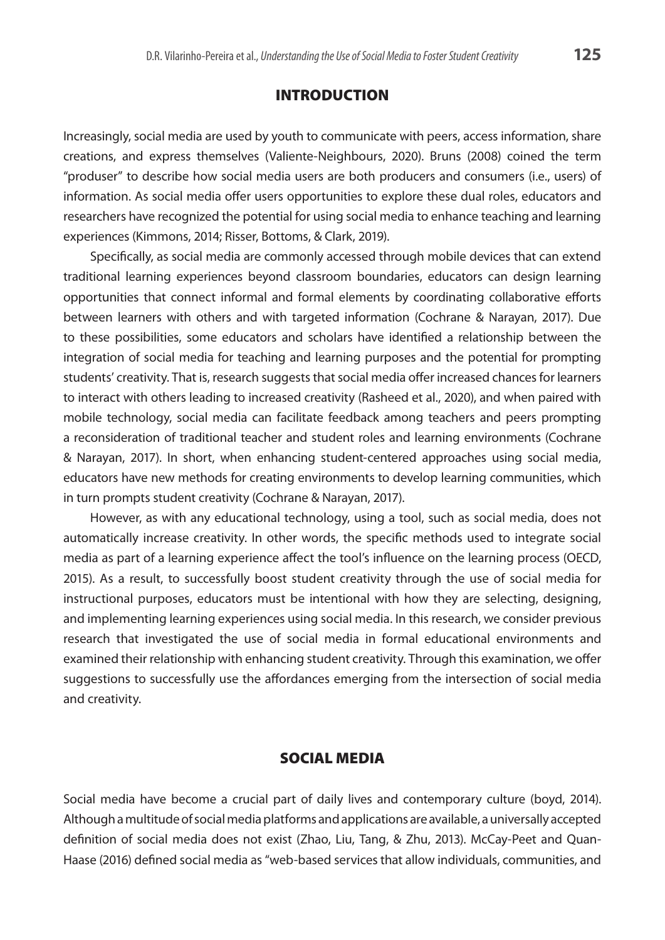### Introduction

Increasingly, social media are used by youth to communicate with peers, access information, share creations, and express themselves (Valiente-Neighbours, 2020). Bruns (2008) coined the term "produser" to describe how social media users are both producers and consumers (i.e., users) of information. As social media offer users opportunities to explore these dual roles, educators and researchers have recognized the potential for using social media to enhance teaching and learning experiences (Kimmons, 2014; Risser, Bottoms, & Clark, 2019).

Specifically, as social media are commonly accessed through mobile devices that can extend traditional learning experiences beyond classroom boundaries, educators can design learning opportunities that connect informal and formal elements by coordinating collaborative efforts between learners with others and with targeted information (Cochrane & Narayan, 2017). Due to these possibilities, some educators and scholars have identified a relationship between the integration of social media for teaching and learning purposes and the potential for prompting students' creativity. That is, research suggests that social media offer increased chances for learners to interact with others leading to increased creativity (Rasheed et al., 2020), and when paired with mobile technology, social media can facilitate feedback among teachers and peers prompting a reconsideration of traditional teacher and student roles and learning environments (Cochrane & Narayan, 2017). In short, when enhancing student-centered approaches using social media, educators have new methods for creating environments to develop learning communities, which in turn prompts student creativity (Cochrane & Narayan, 2017).

However, as with any educational technology, using a tool, such as social media, does not automatically increase creativity. In other words, the specific methods used to integrate social media as part of a learning experience affect the tool's influence on the learning process (OECD, 2015). As a result, to successfully boost student creativity through the use of social media for instructional purposes, educators must be intentional with how they are selecting, designing, and implementing learning experiences using social media. In this research, we consider previous research that investigated the use of social media in formal educational environments and examined their relationship with enhancing student creativity. Through this examination, we offer suggestions to successfully use the affordances emerging from the intersection of social media and creativity.

# Social Media

Social media have become a crucial part of daily lives and contemporary culture (boyd, 2014). Although a multitude of social media platforms and applications are available, a universally accepted definition of social media does not exist (Zhao, Liu, Tang, & Zhu, 2013). McCay-Peet and Quan-Haase (2016) defined social media as "web-based services that allow individuals, communities, and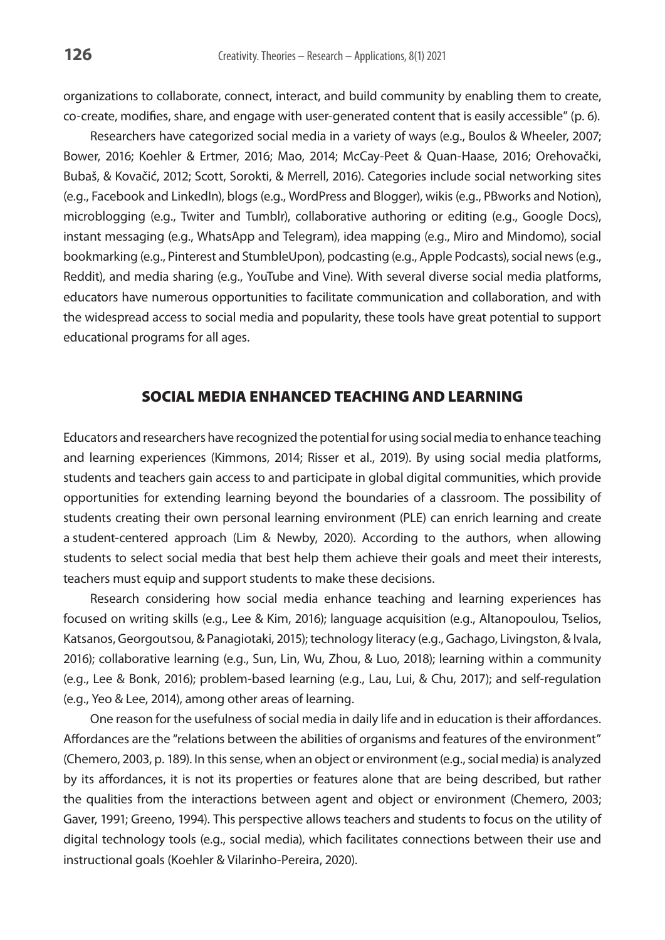organizations to collaborate, connect, interact, and build community by enabling them to create, co-create, modifies, share, and engage with user-generated content that is easily accessible" (p. 6).

Researchers have categorized social media in a variety of ways (e.g., Boulos & Wheeler, 2007; Bower, 2016; Koehler & Ertmer, 2016; Mao, 2014; McCay-Peet & Quan-Haase, 2016; Orehovački, Bubaš, & Kovačić, 2012; Scott, Sorokti, & Merrell, 2016). Categories include social networking sites (e.g., Facebook and LinkedIn), blogs (e.g., WordPress and Blogger), wikis (e.g., PBworks and Notion), microblogging (e.g., Twiter and Tumblr), collaborative authoring or editing (e.g., Google Docs), instant messaging (e.g., WhatsApp and Telegram), idea mapping (e.g., Miro and Mindomo), social bookmarking (e.g., Pinterest and StumbleUpon), podcasting (e.g., Apple Podcasts), social news (e.g., Reddit), and media sharing (e.g., YouTube and Vine). With several diverse social media platforms, educators have numerous opportunities to facilitate communication and collaboration, and with the widespread access to social media and popularity, these tools have great potential to support educational programs for all ages.

# Social Media Enhanced Teaching and Learning

Educators and researchers have recognized the potential for using social media to enhance teaching and learning experiences (Kimmons, 2014; Risser et al., 2019). By using social media platforms, students and teachers gain access to and participate in global digital communities, which provide opportunities for extending learning beyond the boundaries of a classroom. The possibility of students creating their own personal learning environment (PLE) can enrich learning and create a student-centered approach (Lim & Newby, 2020). According to the authors, when allowing students to select social media that best help them achieve their goals and meet their interests, teachers must equip and support students to make these decisions.

Research considering how social media enhance teaching and learning experiences has focused on writing skills (e.g., Lee & Kim, 2016); language acquisition (e.g., Altanopoulou, Tselios, Katsanos, Georgoutsou, & Panagiotaki, 2015); technology literacy (e.g., Gachago, Livingston, & Ivala, 2016); collaborative learning (e.g., Sun, Lin, Wu, Zhou, & Luo, 2018); learning within a community (e.g., Lee & Bonk, 2016); problem-based learning (e.g., Lau, Lui, & Chu, 2017); and self-regulation (e.g., Yeo & Lee, 2014), among other areas of learning.

One reason for the usefulness of social media in daily life and in education is their affordances. Affordances are the "relations between the abilities of organisms and features of the environment" (Chemero, 2003, p. 189). In this sense, when an object or environment (e.g., social media) is analyzed by its affordances, it is not its properties or features alone that are being described, but rather the qualities from the interactions between agent and object or environment (Chemero, 2003; Gaver, 1991; Greeno, 1994). This perspective allows teachers and students to focus on the utility of digital technology tools (e.g., social media), which facilitates connections between their use and instructional goals (Koehler & Vilarinho-Pereira, 2020).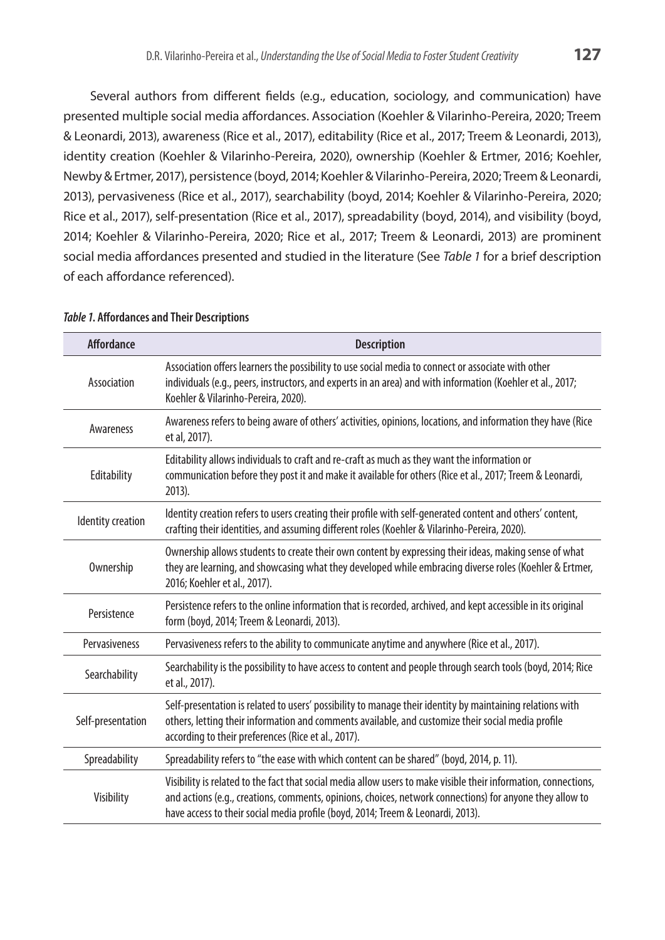Several authors from different fields (e.g., education, sociology, and communication) have presented multiple social media affordances. Association (Koehler & Vilarinho-Pereira, 2020; Treem & Leonardi, 2013), awareness (Rice et al., 2017), editability (Rice et al., 2017; Treem & Leonardi, 2013), identity creation (Koehler & Vilarinho-Pereira, 2020), ownership (Koehler & Ertmer, 2016; Koehler, Newby & Ertmer, 2017), persistence (boyd, 2014; Koehler & Vilarinho-Pereira, 2020; Treem & Leonardi, 2013), pervasiveness (Rice et al., 2017), searchability (boyd, 2014; Koehler & Vilarinho-Pereira, 2020; Rice et al., 2017), self-presentation (Rice et al., 2017), spreadability (boyd, 2014), and visibility (boyd, 2014; Koehler & Vilarinho-Pereira, 2020; Rice et al., 2017; Treem & Leonardi, 2013) are prominent social media affordances presented and studied in the literature (See *Table 1* for a brief description of each affordance referenced).

| <b>Affordance</b>        | <b>Description</b>                                                                                                                                                                                                                                                                                             |
|--------------------------|----------------------------------------------------------------------------------------------------------------------------------------------------------------------------------------------------------------------------------------------------------------------------------------------------------------|
| Association              | Association offers learners the possibility to use social media to connect or associate with other<br>individuals (e.g., peers, instructors, and experts in an area) and with information (Koehler et al., 2017;<br>Koehler & Vilarinho-Pereira, 2020).                                                        |
| Awareness                | Awareness refers to being aware of others' activities, opinions, locations, and information they have (Rice<br>et al, 2017).                                                                                                                                                                                   |
| Editability              | Editability allows individuals to craft and re-craft as much as they want the information or<br>communication before they post it and make it available for others (Rice et al., 2017; Treem & Leonardi,<br>$2013$ ).                                                                                          |
| <b>Identity creation</b> | Identity creation refers to users creating their profile with self-generated content and others' content,<br>crafting their identities, and assuming different roles (Koehler & Vilarinho-Pereira, 2020).                                                                                                      |
| Ownership                | Ownership allows students to create their own content by expressing their ideas, making sense of what<br>they are learning, and showcasing what they developed while embracing diverse roles (Koehler & Ertmer,<br>2016; Koehler et al., 2017).                                                                |
| Persistence              | Persistence refers to the online information that is recorded, archived, and kept accessible in its original<br>form (boyd, 2014; Treem & Leonardi, 2013).                                                                                                                                                     |
| Pervasiveness            | Pervasiveness refers to the ability to communicate anytime and anywhere (Rice et al., 2017).                                                                                                                                                                                                                   |
| Searchability            | Searchability is the possibility to have access to content and people through search tools (boyd, 2014; Rice<br>et al., 2017).                                                                                                                                                                                 |
| Self-presentation        | Self-presentation is related to users' possibility to manage their identity by maintaining relations with<br>others, letting their information and comments available, and customize their social media profile<br>according to their preferences (Rice et al., 2017).                                         |
| Spreadability            | Spreadability refers to "the ease with which content can be shared" (boyd, 2014, p. 11).                                                                                                                                                                                                                       |
| Visibility               | Visibility is related to the fact that social media allow users to make visible their information, connections,<br>and actions (e.g., creations, comments, opinions, choices, network connections) for anyone they allow to<br>have access to their social media profile (boyd, 2014; Treem & Leonardi, 2013). |

#### *Table 1***. Affordances and Their Descriptions**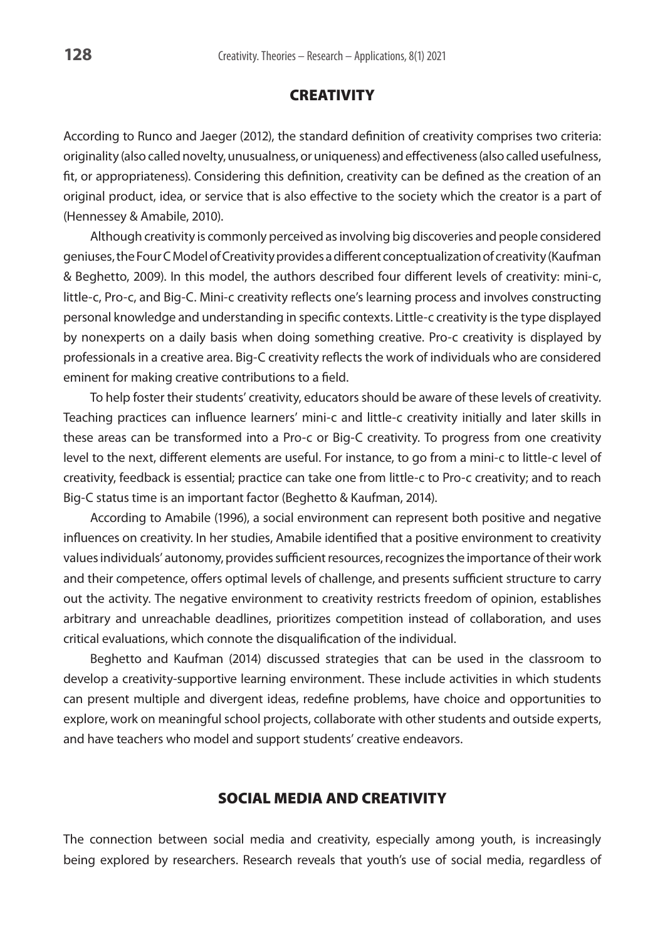# **CREATIVITY**

According to Runco and Jaeger (2012), the standard definition of creativity comprises two criteria: originality (also called novelty, unusualness, or uniqueness) and effectiveness (also called usefulness, fit, or appropriateness). Considering this definition, creativity can be defined as the creation of an original product, idea, or service that is also effective to the society which the creator is a part of (Hennessey & Amabile, 2010).

Although creativity is commonly perceived as involving big discoveries and people considered geniuses, the Four C Model of Creativity provides a different conceptualization of creativity (Kaufman & Beghetto, 2009). In this model, the authors described four different levels of creativity: mini-c, little-c, Pro-c, and Big-C. Mini-c creativity reflects one's learning process and involves constructing personal knowledge and understanding in specific contexts. Little-c creativity is the type displayed by nonexperts on a daily basis when doing something creative. Pro-c creativity is displayed by professionals in a creative area. Big-C creativity reflects the work of individuals who are considered eminent for making creative contributions to a field.

To help foster their students' creativity, educators should be aware of these levels of creativity. Teaching practices can influence learners' mini-c and little-c creativity initially and later skills in these areas can be transformed into a Pro-c or Big-C creativity. To progress from one creativity level to the next, different elements are useful. For instance, to go from a mini-c to little-c level of creativity, feedback is essential; practice can take one from little-c to Pro-c creativity; and to reach Big-C status time is an important factor (Beghetto & Kaufman, 2014).

According to Amabile (1996), a social environment can represent both positive and negative influences on creativity. In her studies, Amabile identified that a positive environment to creativity values individuals' autonomy, provides sufficient resources, recognizes the importance of their work and their competence, offers optimal levels of challenge, and presents sufficient structure to carry out the activity. The negative environment to creativity restricts freedom of opinion, establishes arbitrary and unreachable deadlines, prioritizes competition instead of collaboration, and uses critical evaluations, which connote the disqualification of the individual.

Beghetto and Kaufman (2014) discussed strategies that can be used in the classroom to develop a creativity-supportive learning environment. These include activities in which students can present multiple and divergent ideas, redefine problems, have choice and opportunities to explore, work on meaningful school projects, collaborate with other students and outside experts, and have teachers who model and support students' creative endeavors.

# Social Media and Creativity

The connection between social media and creativity, especially among youth, is increasingly being explored by researchers. Research reveals that youth's use of social media, regardless of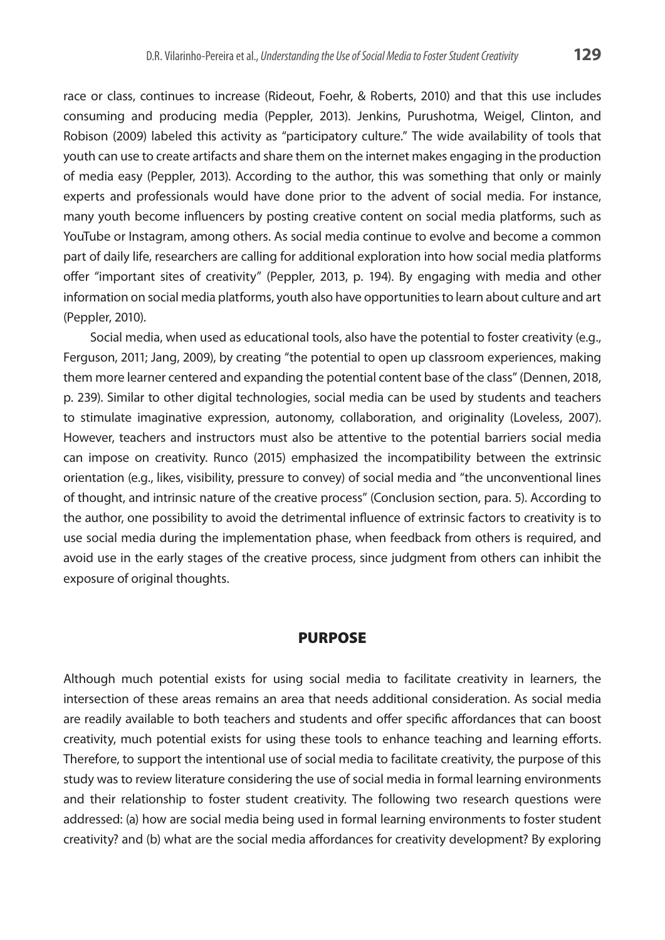race or class, continues to increase (Rideout, Foehr, & Roberts, 2010) and that this use includes consuming and producing media (Peppler, 2013). Jenkins, Purushotma, Weigel, Clinton, and Robison (2009) labeled this activity as "participatory culture." The wide availability of tools that youth can use to create artifacts and share them on the internet makes engaging in the production of media easy (Peppler, 2013). According to the author, this was something that only or mainly experts and professionals would have done prior to the advent of social media. For instance, many youth become influencers by posting creative content on social media platforms, such as YouTube or Instagram, among others. As social media continue to evolve and become a common part of daily life, researchers are calling for additional exploration into how social media platforms offer "important sites of creativity" (Peppler, 2013, p. 194). By engaging with media and other information on social media platforms, youth also have opportunities to learn about culture and art (Peppler, 2010).

Social media, when used as educational tools, also have the potential to foster creativity (e.g., Ferguson, 2011; Jang, 2009), by creating "the potential to open up classroom experiences, making them more learner centered and expanding the potential content base of the class" (Dennen, 2018, p. 239). Similar to other digital technologies, social media can be used by students and teachers to stimulate imaginative expression, autonomy, collaboration, and originality (Loveless, 2007). However, teachers and instructors must also be attentive to the potential barriers social media can impose on creativity. Runco (2015) emphasized the incompatibility between the extrinsic orientation (e.g., likes, visibility, pressure to convey) of social media and "the unconventional lines of thought, and intrinsic nature of the creative process" (Conclusion section, para. 5). According to the author, one possibility to avoid the detrimental influence of extrinsic factors to creativity is to use social media during the implementation phase, when feedback from others is required, and avoid use in the early stages of the creative process, since judgment from others can inhibit the exposure of original thoughts.

### **PURPOSE**

Although much potential exists for using social media to facilitate creativity in learners, the intersection of these areas remains an area that needs additional consideration. As social media are readily available to both teachers and students and offer specific affordances that can boost creativity, much potential exists for using these tools to enhance teaching and learning efforts. Therefore, to support the intentional use of social media to facilitate creativity, the purpose of this study was to review literature considering the use of social media in formal learning environments and their relationship to foster student creativity. The following two research questions were addressed: (a) how are social media being used in formal learning environments to foster student creativity? and (b) what are the social media affordances for creativity development? By exploring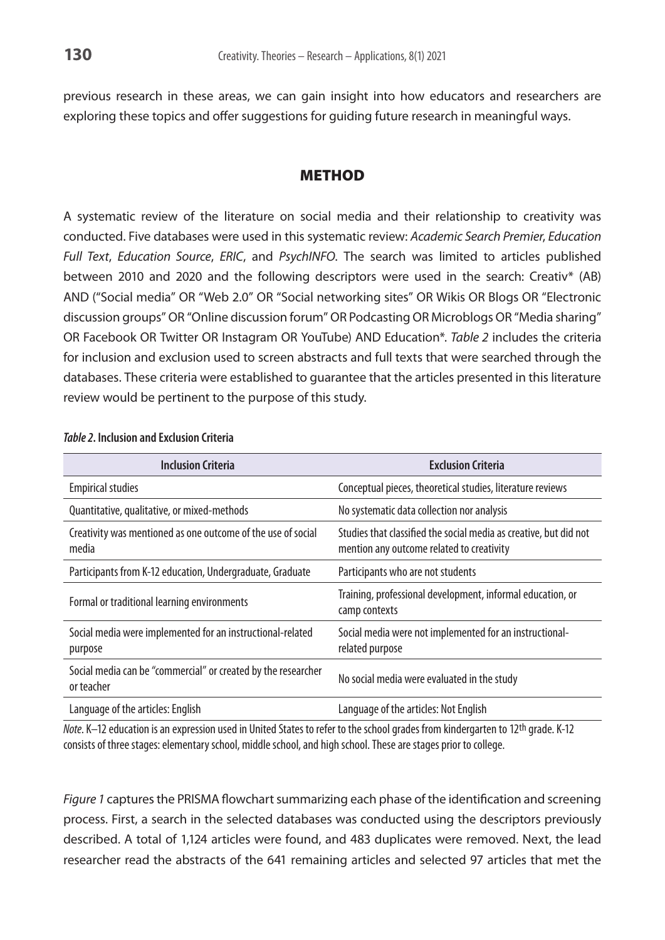previous research in these areas, we can gain insight into how educators and researchers are exploring these topics and offer suggestions for guiding future research in meaningful ways.

### **METHOD**

A systematic review of the literature on social media and their relationship to creativity was conducted. Five databases were used in this systematic review: *Academic Search Premier*, *Education Full Text*, *Education Source*, *ERIC*, and *PsychINFO*. The search was limited to articles published between 2010 and 2020 and the following descriptors were used in the search: Creativ\* (AB) AND ("Social media" OR "Web 2.0" OR "Social networking sites" OR Wikis OR Blogs OR "Electronic discussion groups" OR "Online discussion forum" OR Podcasting OR Microblogs OR "Media sharing" OR Facebook OR Twitter OR Instagram OR YouTube) AND Education\*. *Table 2* includes the criteria for inclusion and exclusion used to screen abstracts and full texts that were searched through the databases. These criteria were established to guarantee that the articles presented in this literature review would be pertinent to the purpose of this study.

| <b>Inclusion Criteria</b>                                                   | <b>Exclusion Criteria</b>                                                                                      |
|-----------------------------------------------------------------------------|----------------------------------------------------------------------------------------------------------------|
| <b>Empirical studies</b>                                                    | Conceptual pieces, theoretical studies, literature reviews                                                     |
| Quantitative, qualitative, or mixed-methods                                 | No systematic data collection nor analysis                                                                     |
| Creativity was mentioned as one outcome of the use of social<br>media       | Studies that classified the social media as creative, but did not<br>mention any outcome related to creativity |
| Participants from K-12 education, Undergraduate, Graduate                   | Participants who are not students                                                                              |
| Formal or traditional learning environments                                 | Training, professional development, informal education, or<br>camp contexts                                    |
| Social media were implemented for an instructional-related<br>purpose       | Social media were not implemented for an instructional-<br>related purpose                                     |
| Social media can be "commercial" or created by the researcher<br>or teacher | No social media were evaluated in the study                                                                    |
| Language of the articles: English                                           | Language of the articles: Not English                                                                          |

### *Table 2***. Inclusion and Exclusion Criteria**

*Note*. K–12 education is an expression used in United States to refer to the school grades from kindergarten to 12<sup>th</sup> grade. K-12 consists of three stages: elementary school, middle school, and high school. These are stages prior to college.

*Figure 1* captures the PRISMA flowchart summarizing each phase of the identification and screening process. First, a search in the selected databases was conducted using the descriptors previously described. A total of 1,124 articles were found, and 483 duplicates were removed. Next, the lead researcher read the abstracts of the 641 remaining articles and selected 97 articles that met the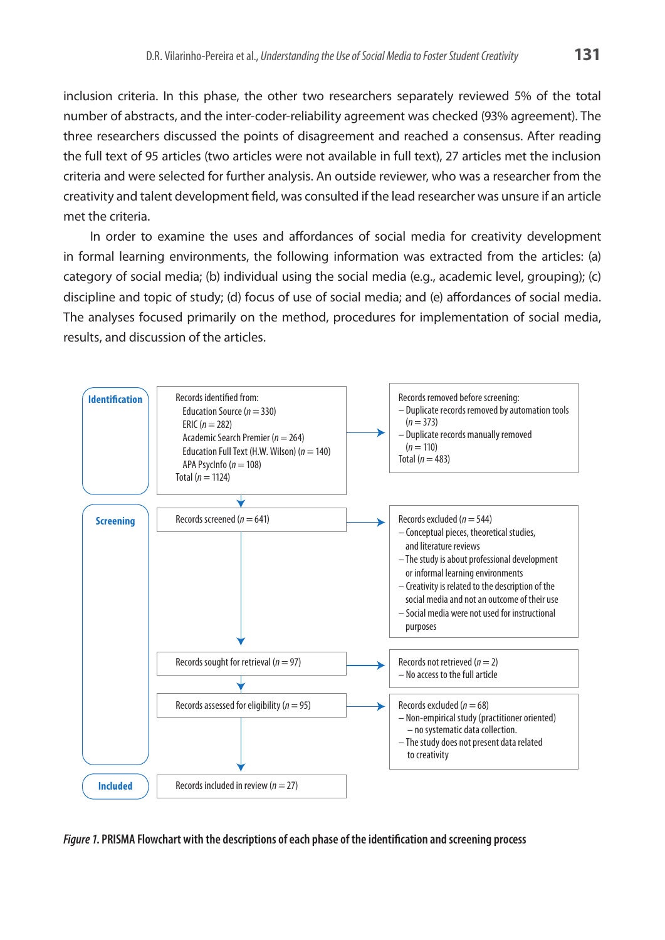inclusion criteria. In this phase, the other two researchers separately reviewed 5% of the total number of abstracts, and the inter-coder-reliability agreement was checked (93% agreement). The three researchers discussed the points of disagreement and reached a consensus. After reading the full text of 95 articles (two articles were not available in full text), 27 articles met the inclusion criteria and were selected for further analysis. An outside reviewer, who was a researcher from the creativity and talent development field, was consulted if the lead researcher was unsure if an article met the criteria.

In order to examine the uses and affordances of social media for creativity development in formal learning environments, the following information was extracted from the articles: (a) category of social media; (b) individual using the social media (e.g., academic level, grouping); (c) discipline and topic of study; (d) focus of use of social media; and (e) affordances of social media. The analyses focused primarily on the method, procedures for implementation of social media, results, and discussion of the articles.



*Figure 1***. PRISMA Flowchart with the descriptions of each phase of the identification and screening process**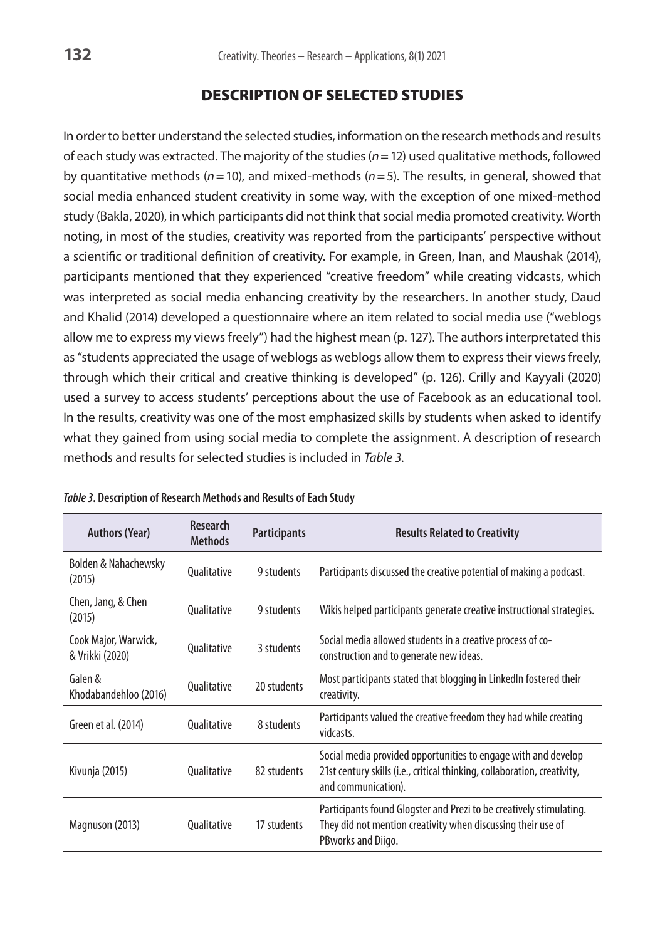# Description of Selected Studies

In order to better understand the selected studies, information on the research methods and results of each study was extracted. The majority of the studies (*n*=12) used qualitative methods, followed by quantitative methods (*n*=10), and mixed-methods (*n*=5). The results, in general, showed that social media enhanced student creativity in some way, with the exception of one mixed-method study (Bakla, 2020), in which participants did not think that social media promoted creativity. Worth noting, in most of the studies, creativity was reported from the participants' perspective without a scientific or traditional definition of creativity. For example, in Green, Inan, and Maushak (2014), participants mentioned that they experienced "creative freedom" while creating vidcasts, which was interpreted as social media enhancing creativity by the researchers. In another study, Daud and Khalid (2014) developed a questionnaire where an item related to social media use ("weblogs allow me to express my views freely") had the highest mean (p. 127). The authors interpretated this as "students appreciated the usage of weblogs as weblogs allow them to express their views freely, through which their critical and creative thinking is developed" (p. 126). Crilly and Kayyali (2020) used a survey to access students' perceptions about the use of Facebook as an educational tool. In the results, creativity was one of the most emphasized skills by students when asked to identify what they gained from using social media to complete the assignment. A description of research methods and results for selected studies is included in *Table 3*.

| <b>Authors (Year)</b>                     | <b>Research</b><br><b>Methods</b> | <b>Participants</b> | <b>Results Related to Creativity</b>                                                                                                                              |
|-------------------------------------------|-----------------------------------|---------------------|-------------------------------------------------------------------------------------------------------------------------------------------------------------------|
| <b>Bolden &amp; Nahachewsky</b><br>(2015) | Qualitative                       | 9 students          | Participants discussed the creative potential of making a podcast.                                                                                                |
| Chen, Jang, & Chen<br>(2015)              | Qualitative                       | 9 students          | Wikis helped participants generate creative instructional strategies.                                                                                             |
| Cook Major, Warwick,<br>& Vrikki (2020)   | Qualitative                       | 3 students          | Social media allowed students in a creative process of co-<br>construction and to generate new ideas.                                                             |
| Galen &<br>Khodabandehloo (2016)          | Qualitative                       | 20 students         | Most participants stated that blogging in LinkedIn fostered their<br>creativity.                                                                                  |
| Green et al. (2014)                       | Qualitative                       | 8 students          | Participants valued the creative freedom they had while creating<br>vidcasts.                                                                                     |
| Kivunja (2015)                            | Qualitative                       | 82 students         | Social media provided opportunities to engage with and develop<br>21st century skills (i.e., critical thinking, collaboration, creativity,<br>and communication). |
| Magnuson (2013)                           | Qualitative                       | 17 students         | Participants found Glogster and Prezi to be creatively stimulating.<br>They did not mention creativity when discussing their use of<br>PBworks and Diigo.         |

#### *Table 3***. Description of Research Methods and Results of Each Study**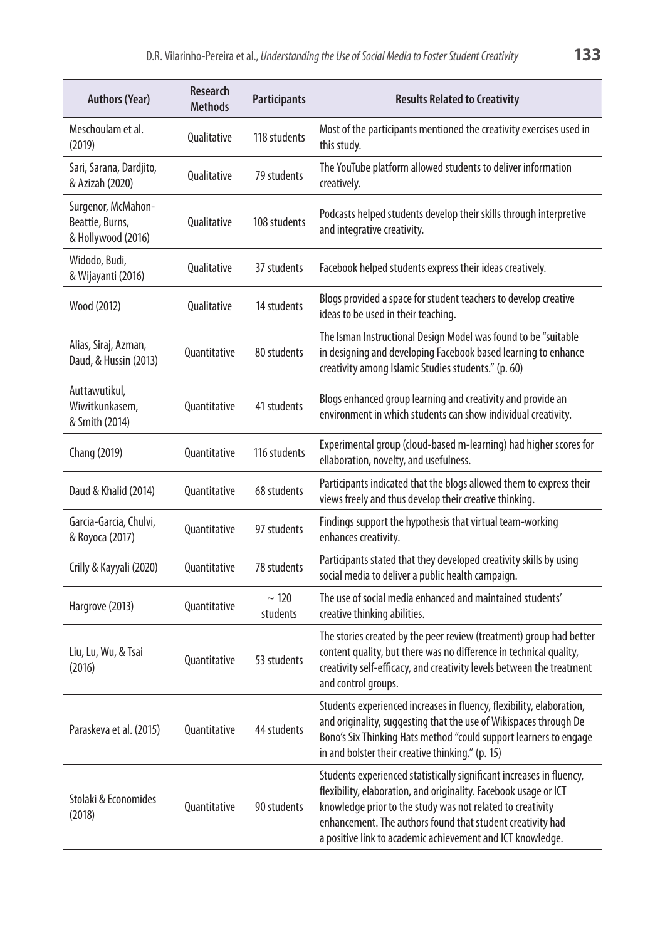| <b>Authors (Year)</b>                                       | <b>Research</b><br><b>Methods</b> | <b>Participants</b>    | <b>Results Related to Creativity</b>                                                                                                                                                                                                                                                                                               |
|-------------------------------------------------------------|-----------------------------------|------------------------|------------------------------------------------------------------------------------------------------------------------------------------------------------------------------------------------------------------------------------------------------------------------------------------------------------------------------------|
| Meschoulam et al.<br>(2019)                                 | Qualitative                       | 118 students           | Most of the participants mentioned the creativity exercises used in<br>this study.                                                                                                                                                                                                                                                 |
| Sari, Sarana, Dardjito,<br>& Azizah (2020)                  | Qualitative                       | 79 students            | The YouTube platform allowed students to deliver information<br>creatively.                                                                                                                                                                                                                                                        |
| Surgenor, McMahon-<br>Beattie, Burns,<br>& Hollywood (2016) | Qualitative                       | 108 students           | Podcasts helped students develop their skills through interpretive<br>and integrative creativity.                                                                                                                                                                                                                                  |
| Widodo, Budi,<br>& Wijayanti (2016)                         | Qualitative                       | 37 students            | Facebook helped students express their ideas creatively.                                                                                                                                                                                                                                                                           |
| Wood (2012)                                                 | Qualitative                       | 14 students            | Blogs provided a space for student teachers to develop creative<br>ideas to be used in their teaching.                                                                                                                                                                                                                             |
| Alias, Siraj, Azman,<br>Daud, & Hussin (2013)               | Quantitative                      | 80 students            | The Isman Instructional Design Model was found to be "suitable<br>in designing and developing Facebook based learning to enhance<br>creativity among Islamic Studies students." (p. 60)                                                                                                                                            |
| Auttawutikul,<br>Wiwitkunkasem,<br>& Smith (2014)           | Quantitative                      | 41 students            | Blogs enhanced group learning and creativity and provide an<br>environment in which students can show individual creativity.                                                                                                                                                                                                       |
| Chang (2019)                                                | Quantitative                      | 116 students           | Experimental group (cloud-based m-learning) had higher scores for<br>ellaboration, novelty, and usefulness.                                                                                                                                                                                                                        |
| Daud & Khalid (2014)                                        | Quantitative                      | 68 students            | Participants indicated that the blogs allowed them to express their<br>views freely and thus develop their creative thinking.                                                                                                                                                                                                      |
| Garcia-Garcia, Chulvi,<br>& Royoca (2017)                   | Quantitative                      | 97 students            | Findings support the hypothesis that virtual team-working<br>enhances creativity.                                                                                                                                                                                                                                                  |
| Crilly & Kayyali (2020)                                     | Quantitative                      | 78 students            | Participants stated that they developed creativity skills by using<br>social media to deliver a public health campaign.                                                                                                                                                                                                            |
| Hargrove (2013)                                             | Quantitative                      | $\sim$ 120<br>students | The use of social media enhanced and maintained students'<br>creative thinking abilities.                                                                                                                                                                                                                                          |
| Liu, Lu, Wu, & Tsai<br>(2016)                               | Quantitative                      | 53 students            | The stories created by the peer review (treatment) group had better<br>content quality, but there was no difference in technical quality,<br>creativity self-efficacy, and creativity levels between the treatment<br>and control groups.                                                                                          |
| Paraskeva et al. (2015)                                     | Quantitative                      | 44 students            | Students experienced increases in fluency, flexibility, elaboration,<br>and originality, suggesting that the use of Wikispaces through De<br>Bono's Six Thinking Hats method "could support learners to engage<br>in and bolster their creative thinking." (p. 15)                                                                 |
| Stolaki & Economides<br>(2018)                              | Quantitative                      | 90 students            | Students experienced statistically significant increases in fluency,<br>flexibility, elaboration, and originality. Facebook usage or ICT<br>knowledge prior to the study was not related to creativity<br>enhancement. The authors found that student creativity had<br>a positive link to academic achievement and ICT knowledge. |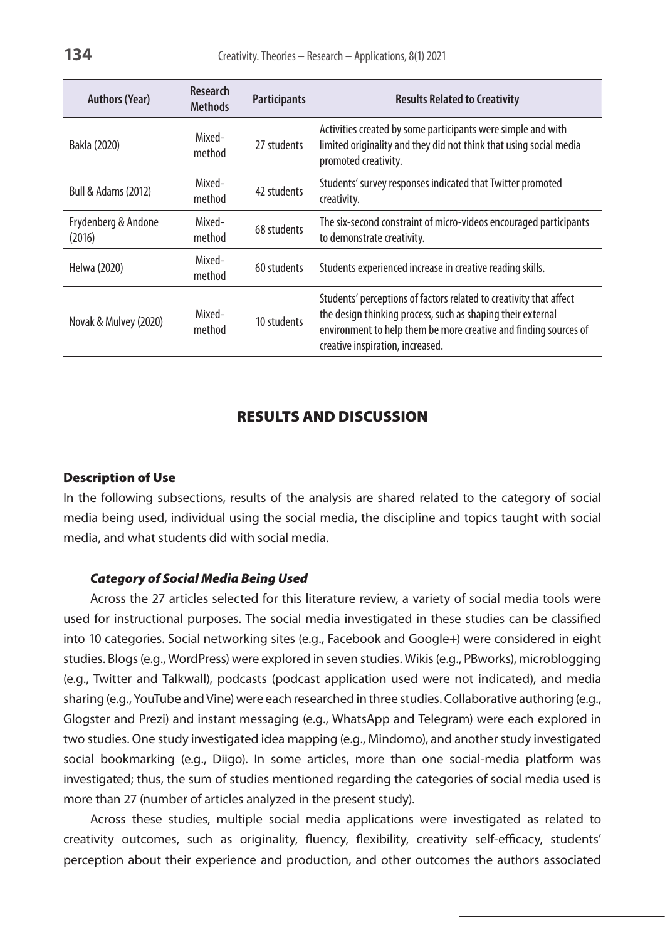| <b>Authors (Year)</b>          | <b>Research</b><br><b>Methods</b> | <b>Participants</b> | <b>Results Related to Creativity</b>                                                                                                                                                                                                      |
|--------------------------------|-----------------------------------|---------------------|-------------------------------------------------------------------------------------------------------------------------------------------------------------------------------------------------------------------------------------------|
| Bakla (2020)                   | Mixed-<br>method                  | 27 students         | Activities created by some participants were simple and with<br>limited originality and they did not think that using social media<br>promoted creativity.                                                                                |
| <b>Bull &amp; Adams (2012)</b> | Mixed-<br>method                  | 42 students         | Students' survey responses indicated that Twitter promoted<br>creativity.                                                                                                                                                                 |
| Frydenberg & Andone<br>(2016)  | Mixed-<br>method                  | 68 students         | The six-second constraint of micro-videos encouraged participants<br>to demonstrate creativity.                                                                                                                                           |
| Helwa (2020)                   | Mixed-<br>method                  | 60 students         | Students experienced increase in creative reading skills.                                                                                                                                                                                 |
| Novak & Mulvey (2020)          | Mixed-<br>method                  | 10 students         | Students' perceptions of factors related to creativity that affect<br>the design thinking process, such as shaping their external<br>environment to help them be more creative and finding sources of<br>creative inspiration, increased. |

# Results and Discussion

### Description of Use

In the following subsections, results of the analysis are shared related to the category of social media being used, individual using the social media, the discipline and topics taught with social media, and what students did with social media.

### *Category of Social Media Being Used*

Across the 27 articles selected for this literature review, a variety of social media tools were used for instructional purposes. The social media investigated in these studies can be classified into 10 categories. Social networking sites (e.g., Facebook and Google+) were considered in eight studies. Blogs (e.g., WordPress) were explored in seven studies. Wikis (e.g., PBworks), microblogging (e.g., Twitter and Talkwall), podcasts (podcast application used were not indicated), and media sharing (e.g., YouTube and Vine) were each researched in three studies. Collaborative authoring (e.g., Glogster and Prezi) and instant messaging (e.g., WhatsApp and Telegram) were each explored in two studies. One study investigated idea mapping (e.g., Mindomo), and another study investigated social bookmarking (e.g., Diigo). In some articles, more than one social-media platform was investigated; thus, the sum of studies mentioned regarding the categories of social media used is more than 27 (number of articles analyzed in the present study).

Across these studies, multiple social media applications were investigated as related to creativity outcomes, such as originality, fluency, flexibility, creativity self-efficacy, students' perception about their experience and production, and other outcomes the authors associated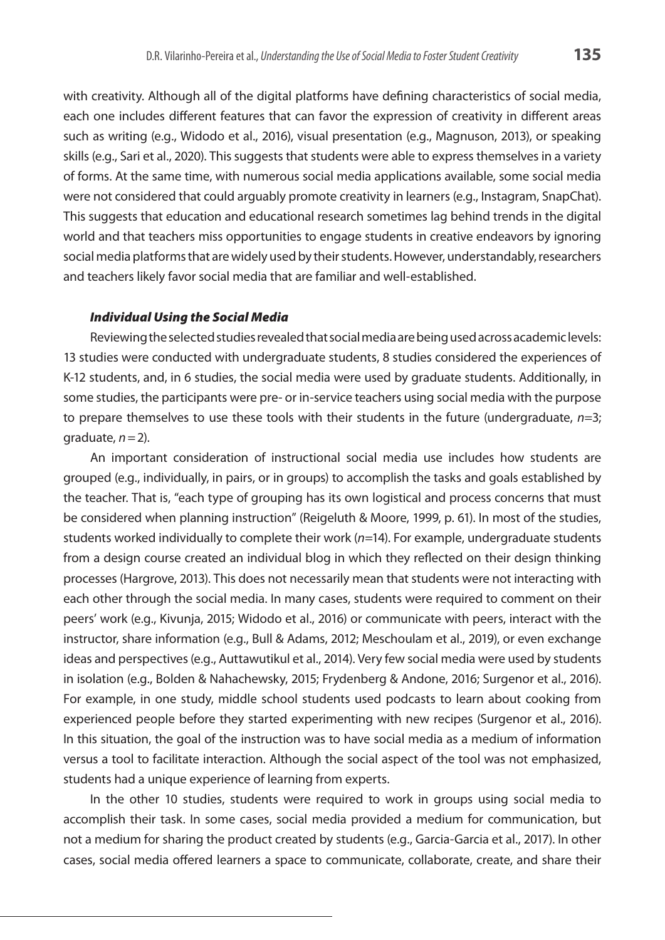with creativity. Although all of the digital platforms have defining characteristics of social media, each one includes different features that can favor the expression of creativity in different areas such as writing (e.g., Widodo et al., 2016), visual presentation (e.g., Magnuson, 2013), or speaking skills (e.g., Sari et al., 2020). This suggests that students were able to express themselves in a variety of forms. At the same time, with numerous social media applications available, some social media were not considered that could arguably promote creativity in learners (e.g., Instagram, SnapChat). This suggests that education and educational research sometimes lag behind trends in the digital world and that teachers miss opportunities to engage students in creative endeavors by ignoring social media platforms that are widely used by their students. However, understandably, researchers and teachers likely favor social media that are familiar and well-established.

### *Individual Using the Social Media*

Reviewing the selected studies revealed that social media are being used across academic levels: 13 studies were conducted with undergraduate students, 8 studies considered the experiences of K-12 students, and, in 6 studies, the social media were used by graduate students. Additionally, in some studies, the participants were pre- or in-service teachers using social media with the purpose to prepare themselves to use these tools with their students in the future (undergraduate, *n*=3; graduate,  $n=2$ ).

An important consideration of instructional social media use includes how students are grouped (e.g., individually, in pairs, or in groups) to accomplish the tasks and goals established by the teacher. That is, "each type of grouping has its own logistical and process concerns that must be considered when planning instruction" (Reigeluth & Moore, 1999, p. 61). In most of the studies, students worked individually to complete their work (*n*=14). For example, undergraduate students from a design course created an individual blog in which they reflected on their design thinking processes (Hargrove, 2013). This does not necessarily mean that students were not interacting with each other through the social media. In many cases, students were required to comment on their peers' work (e.g., Kivunja, 2015; Widodo et al., 2016) or communicate with peers, interact with the instructor, share information (e.g., Bull & Adams, 2012; Meschoulam et al., 2019), or even exchange ideas and perspectives (e.g., Auttawutikul et al., 2014). Very few social media were used by students in isolation (e.g., Bolden & Nahachewsky, 2015; Frydenberg & Andone, 2016; Surgenor et al., 2016). For example, in one study, middle school students used podcasts to learn about cooking from experienced people before they started experimenting with new recipes (Surgenor et al., 2016). In this situation, the goal of the instruction was to have social media as a medium of information versus a tool to facilitate interaction. Although the social aspect of the tool was not emphasized, students had a unique experience of learning from experts.

In the other 10 studies, students were required to work in groups using social media to accomplish their task. In some cases, social media provided a medium for communication, but not a medium for sharing the product created by students (e.g., Garcia-Garcia et al., 2017). In other cases, social media offered learners a space to communicate, collaborate, create, and share their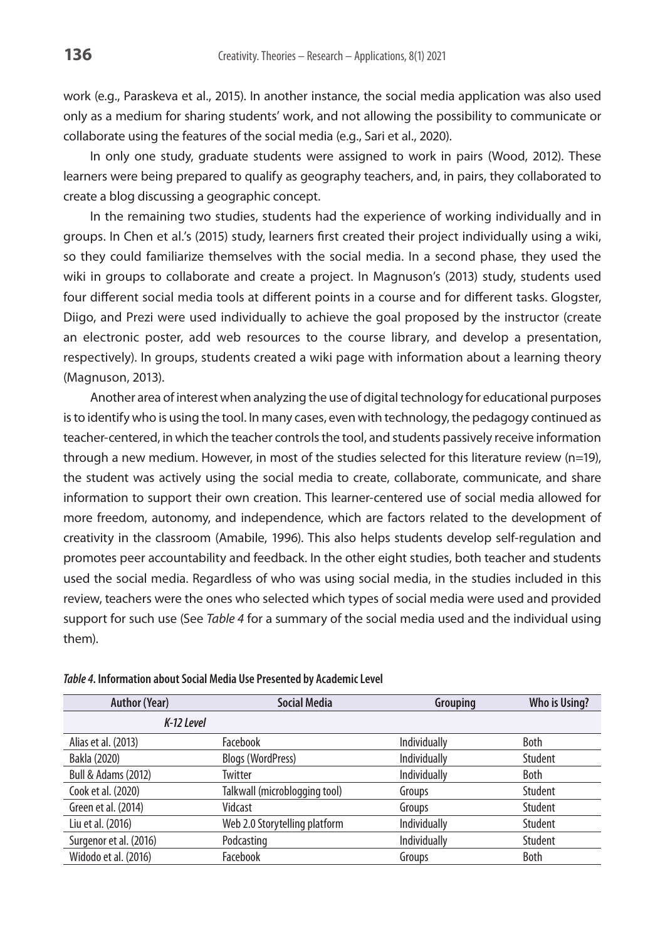work (e.g., Paraskeva et al., 2015). In another instance, the social media application was also used only as a medium for sharing students' work, and not allowing the possibility to communicate or collaborate using the features of the social media (e.g., Sari et al., 2020).

In only one study, graduate students were assigned to work in pairs (Wood, 2012). These learners were being prepared to qualify as geography teachers, and, in pairs, they collaborated to create a blog discussing a geographic concept.

In the remaining two studies, students had the experience of working individually and in groups. In Chen et al.'s (2015) study, learners first created their project individually using a wiki, so they could familiarize themselves with the social media. In a second phase, they used the wiki in groups to collaborate and create a project. In Magnuson's (2013) study, students used four different social media tools at different points in a course and for different tasks. Glogster, Diigo, and Prezi were used individually to achieve the goal proposed by the instructor (create an electronic poster, add web resources to the course library, and develop a presentation, respectively). In groups, students created a wiki page with information about a learning theory (Magnuson, 2013).

Another area of interest when analyzing the use of digital technology for educational purposes is to identify who is using the tool. In many cases, even with technology, the pedagogy continued as teacher-centered, in which the teacher controls the tool, and students passively receive information through a new medium. However, in most of the studies selected for this literature review (n=19), the student was actively using the social media to create, collaborate, communicate, and share information to support their own creation. This learner-centered use of social media allowed for more freedom, autonomy, and independence, which are factors related to the development of creativity in the classroom (Amabile, 1996). This also helps students develop self-regulation and promotes peer accountability and feedback. In the other eight studies, both teacher and students used the social media. Regardless of who was using social media, in the studies included in this review, teachers were the ones who selected which types of social media were used and provided support for such use (See *Table 4* for a summary of the social media used and the individual using them).

| <b>Author (Year)</b>           | <b>Social Media</b>           | Grouping     | Who is Using? |
|--------------------------------|-------------------------------|--------------|---------------|
| K-12 Level                     |                               |              |               |
| Alias et al. (2013)            | Facebook                      | Individually | Both          |
| Bakla (2020)                   | <b>Blogs (WordPress)</b>      | Individually | Student       |
| <b>Bull &amp; Adams (2012)</b> | Twitter                       | Individually | Both          |
| Cook et al. (2020)             | Talkwall (microblogging tool) | Groups       | Student       |
| Green et al. (2014)            | Vidcast                       | Groups       | Student       |
| Liu et al. (2016)              | Web 2.0 Storytelling platform | Individually | Student       |
| Surgenor et al. (2016)         | Podcasting                    | Individually | Student       |
| Widodo et al. (2016)           | Facebook                      | Groups       | Both          |

*Table 4***. Information about Social Media Use Presented by Academic Level**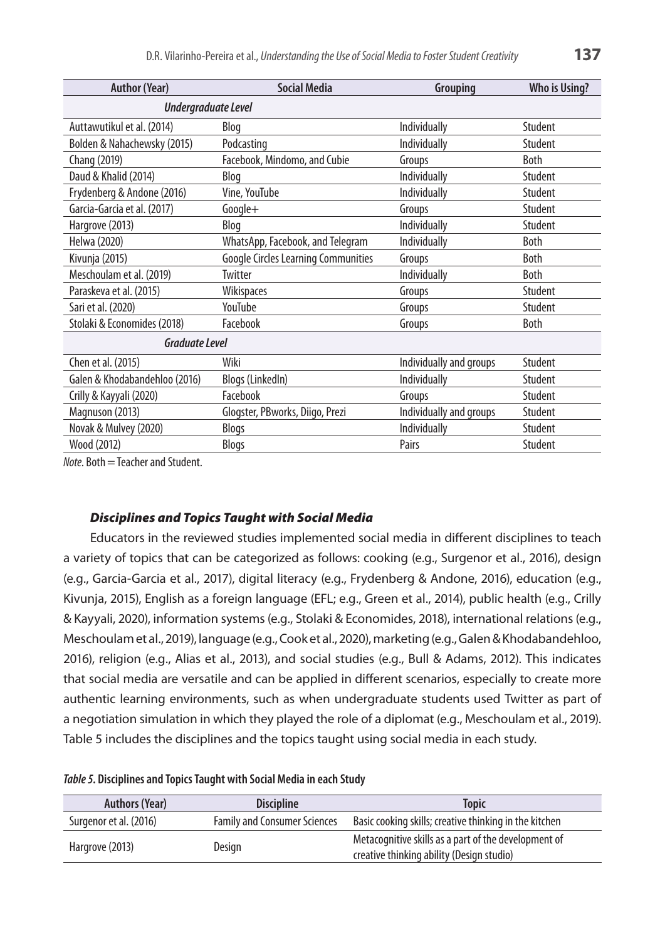| Undergraduate Level<br>Auttawutikul et al. (2014)<br>Individually<br>Student<br>Blog<br>Bolden & Nahachewsky (2015)<br>Individually<br>Student<br>Podcasting<br>Facebook, Mindomo, and Cubie<br>Both<br>Chang (2019)<br>Groups<br>Daud & Khalid (2014)<br>Individually<br>Student<br>Blog<br>Frydenberg & Andone (2016)<br>Vine, YouTube<br>Individually<br>Student<br>Garcia-Garcia et al. (2017)<br>Google+<br>Student<br>Groups | <b>Author (Year)</b> | <b>Social Media</b> | Grouping     | <b>Who is Using?</b> |  |
|------------------------------------------------------------------------------------------------------------------------------------------------------------------------------------------------------------------------------------------------------------------------------------------------------------------------------------------------------------------------------------------------------------------------------------|----------------------|---------------------|--------------|----------------------|--|
|                                                                                                                                                                                                                                                                                                                                                                                                                                    |                      |                     |              |                      |  |
|                                                                                                                                                                                                                                                                                                                                                                                                                                    |                      |                     |              |                      |  |
|                                                                                                                                                                                                                                                                                                                                                                                                                                    |                      |                     |              |                      |  |
|                                                                                                                                                                                                                                                                                                                                                                                                                                    |                      |                     |              |                      |  |
|                                                                                                                                                                                                                                                                                                                                                                                                                                    |                      |                     |              |                      |  |
|                                                                                                                                                                                                                                                                                                                                                                                                                                    |                      |                     |              |                      |  |
|                                                                                                                                                                                                                                                                                                                                                                                                                                    |                      |                     |              |                      |  |
|                                                                                                                                                                                                                                                                                                                                                                                                                                    | Hargrove (2013)      | Blog                | Individually | Student              |  |
| WhatsApp, Facebook, and Telegram<br>Helwa (2020)<br>Individually<br><b>Both</b>                                                                                                                                                                                                                                                                                                                                                    |                      |                     |              |                      |  |
| <b>Google Circles Learning Communities</b><br>Kivunja (2015)<br>Both<br>Groups                                                                                                                                                                                                                                                                                                                                                     |                      |                     |              |                      |  |
| Meschoulam et al. (2019)<br>Twitter<br>Individually<br>Both                                                                                                                                                                                                                                                                                                                                                                        |                      |                     |              |                      |  |
| Paraskeva et al. (2015)<br>Wikispaces<br>Student<br>Groups                                                                                                                                                                                                                                                                                                                                                                         |                      |                     |              |                      |  |
| YouTube<br>Sari et al. (2020)<br>Student<br>Groups                                                                                                                                                                                                                                                                                                                                                                                 |                      |                     |              |                      |  |
| Stolaki & Economides (2018)<br>Facebook<br>Both<br>Groups                                                                                                                                                                                                                                                                                                                                                                          |                      |                     |              |                      |  |
| <b>Graduate Level</b>                                                                                                                                                                                                                                                                                                                                                                                                              |                      |                     |              |                      |  |
| Chen et al. (2015)<br>Wiki<br>Individually and groups<br>Student                                                                                                                                                                                                                                                                                                                                                                   |                      |                     |              |                      |  |
| Blogs (LinkedIn)<br>Galen & Khodabandehloo (2016)<br>Individually<br>Student                                                                                                                                                                                                                                                                                                                                                       |                      |                     |              |                      |  |
| Facebook<br>Crilly & Kayyali (2020)<br>Student<br>Groups                                                                                                                                                                                                                                                                                                                                                                           |                      |                     |              |                      |  |
| Magnuson (2013)<br>Glogster, PBworks, Diigo, Prezi<br>Individually and groups<br>Student                                                                                                                                                                                                                                                                                                                                           |                      |                     |              |                      |  |
| Novak & Mulvey (2020)<br>Individually<br>Student<br>Blogs                                                                                                                                                                                                                                                                                                                                                                          |                      |                     |              |                      |  |
| Wood (2012)<br>Pairs<br>Student<br>Blogs                                                                                                                                                                                                                                                                                                                                                                                           |                      |                     |              |                      |  |

*Note*. Both=Teacher and Student.

# *Disciplines and Topics Taught with Social Media*

Educators in the reviewed studies implemented social media in different disciplines to teach a variety of topics that can be categorized as follows: cooking (e.g., Surgenor et al., 2016), design (e.g., Garcia-Garcia et al., 2017), digital literacy (e.g., Frydenberg & Andone, 2016), education (e.g., Kivunja, 2015), English as a foreign language (EFL; e.g., Green et al., 2014), public health (e.g., Crilly & Kayyali, 2020), information systems (e.g., Stolaki & Economides, 2018), international relations (e.g., Meschoulam et al., 2019), language (e.g., Cook et al., 2020), marketing (e.g., Galen & Khodabandehloo, 2016), religion (e.g., Alias et al., 2013), and social studies (e.g., Bull & Adams, 2012). This indicates that social media are versatile and can be applied in different scenarios, especially to create more authentic learning environments, such as when undergraduate students used Twitter as part of a negotiation simulation in which they played the role of a diplomat (e.g., Meschoulam et al., 2019). Table 5 includes the disciplines and the topics taught using social media in each study.

| Table 5. Disciplines and Topics Taught with Social Media in each Study |  |  |
|------------------------------------------------------------------------|--|--|
|                                                                        |  |  |

| <b>Authors (Year)</b>  | <b>Discipline</b>                   | <b>Topic</b>                                                                                      |
|------------------------|-------------------------------------|---------------------------------------------------------------------------------------------------|
| Surgenor et al. (2016) | <b>Family and Consumer Sciences</b> | Basic cooking skills; creative thinking in the kitchen                                            |
| Hargrove (2013)        | Design                              | Metacognitive skills as a part of the development of<br>creative thinking ability (Design studio) |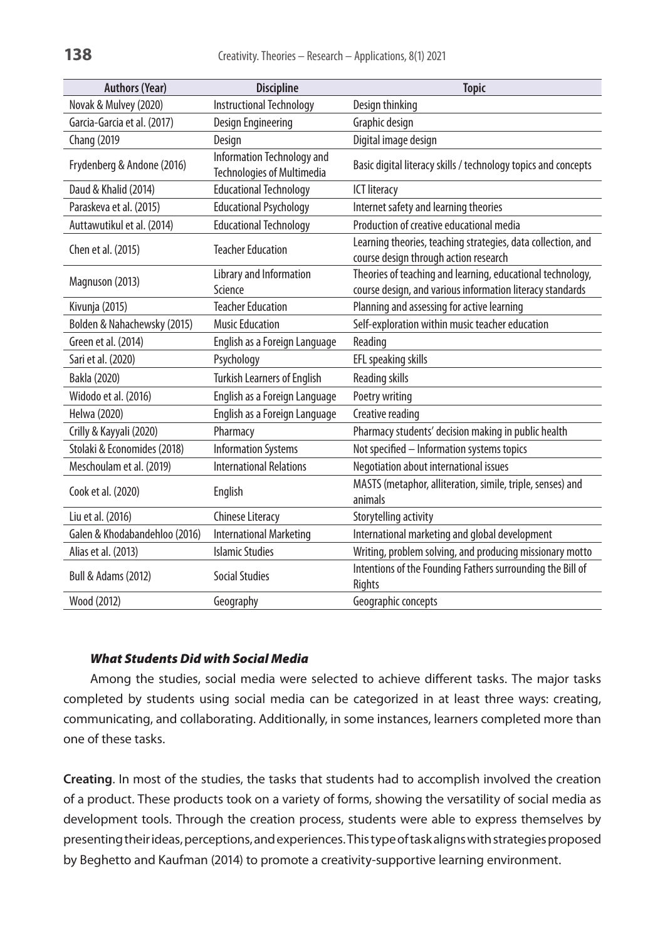| <b>Authors (Year)</b>          | <b>Discipline</b>                                               | <b>Topic</b>                                                                                          |
|--------------------------------|-----------------------------------------------------------------|-------------------------------------------------------------------------------------------------------|
| Novak & Mulvey (2020)          | <b>Instructional Technology</b>                                 | Design thinking                                                                                       |
| Garcia-Garcia et al. (2017)    | Design Engineering                                              | Graphic design                                                                                        |
| <b>Chang (2019</b>             | Design                                                          | Digital image design                                                                                  |
| Frydenberg & Andone (2016)     | Information Technology and<br><b>Technologies of Multimedia</b> | Basic digital literacy skills / technology topics and concepts                                        |
| Daud & Khalid (2014)           | <b>Educational Technology</b>                                   | <b>ICT</b> literacy                                                                                   |
| Paraskeva et al. (2015)        | <b>Educational Psychology</b>                                   | Internet safety and learning theories                                                                 |
| Auttawutikul et al. (2014)     | <b>Educational Technology</b>                                   | Production of creative educational media                                                              |
| Chen et al. (2015)             | <b>Teacher Education</b>                                        | Learning theories, teaching strategies, data collection, and<br>course design through action research |
| Magnuson (2013)                | Library and Information                                         | Theories of teaching and learning, educational technology,                                            |
|                                | Science                                                         | course design, and various information literacy standards                                             |
| Kivunja (2015)                 | <b>Teacher Education</b>                                        | Planning and assessing for active learning                                                            |
| Bolden & Nahachewsky (2015)    | <b>Music Education</b>                                          | Self-exploration within music teacher education                                                       |
| Green et al. (2014)            | English as a Foreign Language                                   | Reading                                                                                               |
| Sari et al. (2020)             | Psychology                                                      | EFL speaking skills                                                                                   |
| Bakla (2020)                   | <b>Turkish Learners of English</b>                              | <b>Reading skills</b>                                                                                 |
| Widodo et al. (2016)           | English as a Foreign Language                                   | Poetry writing                                                                                        |
| Helwa (2020)                   | English as a Foreign Language                                   | Creative reading                                                                                      |
| Crilly & Kayyali (2020)        | Pharmacy                                                        | Pharmacy students' decision making in public health                                                   |
| Stolaki & Economides (2018)    | <b>Information Systems</b>                                      | Not specified - Information systems topics                                                            |
| Meschoulam et al. (2019)       | <b>International Relations</b>                                  | Negotiation about international issues                                                                |
| Cook et al. (2020)             | English                                                         | MASTS (metaphor, alliteration, simile, triple, senses) and<br>animals                                 |
| Liu et al. (2016)              | <b>Chinese Literacy</b>                                         | Storytelling activity                                                                                 |
| Galen & Khodabandehloo (2016)  | <b>International Marketing</b>                                  | International marketing and global development                                                        |
| Alias et al. (2013)            | <b>Islamic Studies</b>                                          | Writing, problem solving, and producing missionary motto                                              |
| <b>Bull &amp; Adams (2012)</b> | <b>Social Studies</b>                                           | Intentions of the Founding Fathers surrounding the Bill of<br>Rights                                  |
| Wood (2012)                    | Geography                                                       | Geographic concepts                                                                                   |

# *What Students Did with Social Media*

Among the studies, social media were selected to achieve different tasks. The major tasks completed by students using social media can be categorized in at least three ways: creating, communicating, and collaborating. Additionally, in some instances, learners completed more than one of these tasks.

**Creating**. In most of the studies, the tasks that students had to accomplish involved the creation of a product. These products took on a variety of forms, showing the versatility of social media as development tools. Through the creation process, students were able to express themselves by presenting their ideas, perceptions, and experiences. This type of task aligns with strategies proposed by Beghetto and Kaufman (2014) to promote a creativity-supportive learning environment.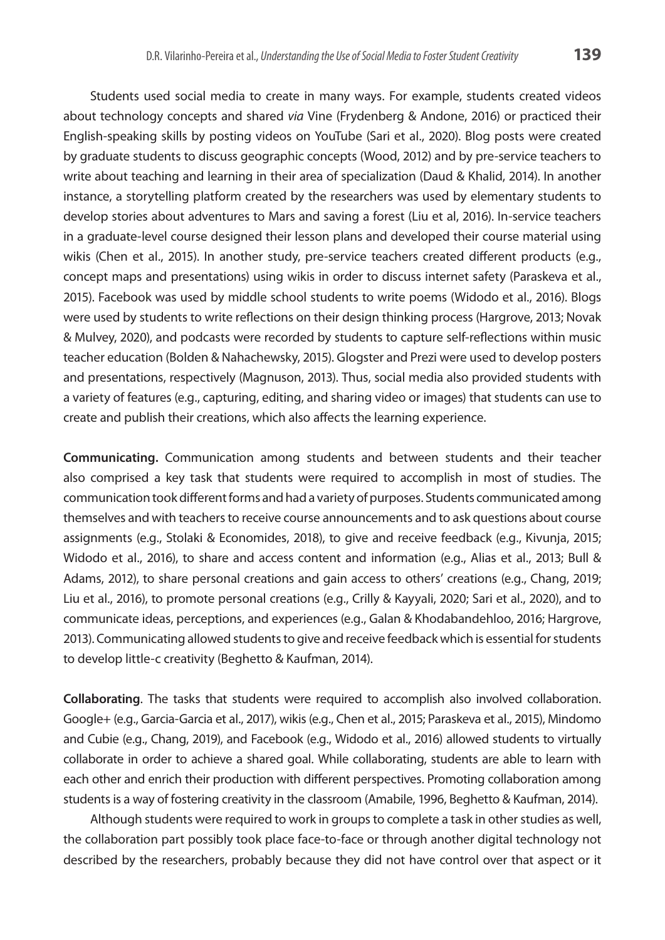Students used social media to create in many ways. For example, students created videos about technology concepts and shared *via* Vine (Frydenberg & Andone, 2016) or practiced their English-speaking skills by posting videos on YouTube (Sari et al., 2020). Blog posts were created by graduate students to discuss geographic concepts (Wood, 2012) and by pre-service teachers to write about teaching and learning in their area of specialization (Daud & Khalid, 2014). In another instance, a storytelling platform created by the researchers was used by elementary students to develop stories about adventures to Mars and saving a forest (Liu et al, 2016). In-service teachers in a graduate-level course designed their lesson plans and developed their course material using wikis (Chen et al., 2015). In another study, pre-service teachers created different products (e.g., concept maps and presentations) using wikis in order to discuss internet safety (Paraskeva et al., 2015). Facebook was used by middle school students to write poems (Widodo et al., 2016). Blogs were used by students to write reflections on their design thinking process (Hargrove, 2013; Novak & Mulvey, 2020), and podcasts were recorded by students to capture self-reflections within music teacher education (Bolden & Nahachewsky, 2015). Glogster and Prezi were used to develop posters and presentations, respectively (Magnuson, 2013). Thus, social media also provided students with a variety of features (e.g., capturing, editing, and sharing video or images) that students can use to create and publish their creations, which also affects the learning experience.

**Communicating.** Communication among students and between students and their teacher also comprised a key task that students were required to accomplish in most of studies. The communication took different forms and had a variety of purposes. Students communicated among themselves and with teachers to receive course announcements and to ask questions about course assignments (e.g., Stolaki & Economides, 2018), to give and receive feedback (e.g., Kivunja, 2015; Widodo et al., 2016), to share and access content and information (e.g., Alias et al., 2013; Bull & Adams, 2012), to share personal creations and gain access to others' creations (e.g., Chang, 2019; Liu et al., 2016), to promote personal creations (e.g., Crilly & Kayyali, 2020; Sari et al., 2020), and to communicate ideas, perceptions, and experiences (e.g., Galan & Khodabandehloo, 2016; Hargrove, 2013). Communicating allowed students to give and receive feedback which is essential for students to develop little-c creativity (Beghetto & Kaufman, 2014).

**Collaborating**. The tasks that students were required to accomplish also involved collaboration. Google+ (e.g., Garcia-Garcia et al., 2017), wikis (e.g., Chen et al., 2015; Paraskeva et al., 2015), Mindomo and Cubie (e.g., Chang, 2019), and Facebook (e.g., Widodo et al., 2016) allowed students to virtually collaborate in order to achieve a shared goal. While collaborating, students are able to learn with each other and enrich their production with different perspectives. Promoting collaboration among students is a way of fostering creativity in the classroom (Amabile, 1996, Beghetto & Kaufman, 2014).

Although students were required to work in groups to complete a task in other studies as well, the collaboration part possibly took place face-to-face or through another digital technology not described by the researchers, probably because they did not have control over that aspect or it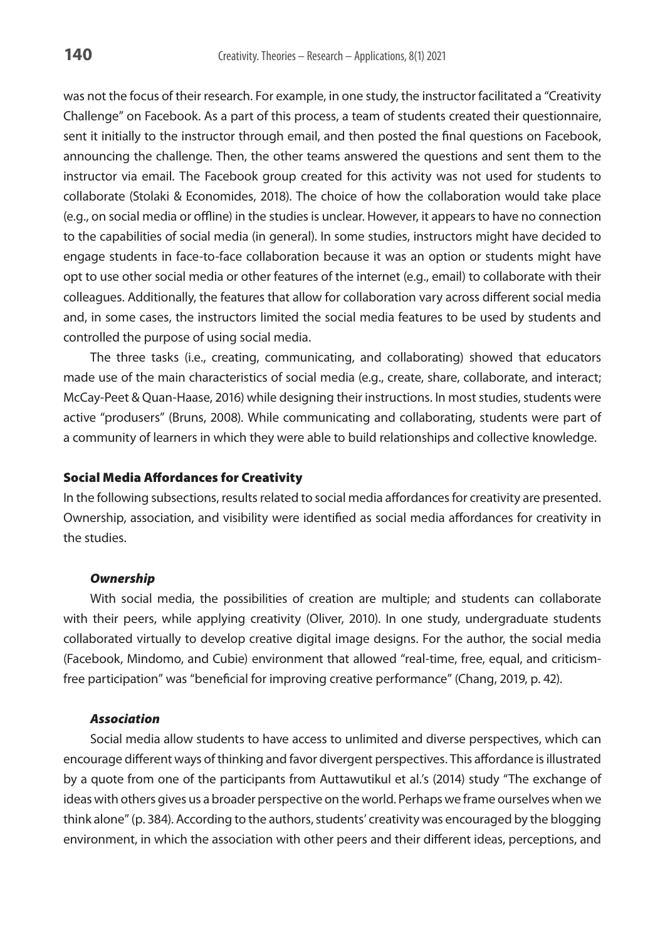was not the focus of their research. For example, in one study, the instructor facilitated a "Creativity Challenge" on Facebook. As a part of this process, a team of students created their questionnaire, sent it initially to the instructor through email, and then posted the final questions on Facebook, announcing the challenge. Then, the other teams answered the questions and sent them to the instructor via email. The Facebook group created for this activity was not used for students to collaborate (Stolaki & Economides, 2018). The choice of how the collaboration would take place (e.g., on social media or offline) in the studies is unclear. However, it appears to have no connection to the capabilities of social media (in general). In some studies, instructors might have decided to engage students in face-to-face collaboration because it was an option or students might have opt to use other social media or other features of the internet (e.g., email) to collaborate with their colleagues. Additionally, the features that allow for collaboration vary across different social media and, in some cases, the instructors limited the social media features to be used by students and controlled the purpose of using social media.

The three tasks (i.e., creating, communicating, and collaborating) showed that educators made use of the main characteristics of social media (e.g., create, share, collaborate, and interact; McCay-Peet & Quan-Haase, 2016) while designing their instructions. In most studies, students were active "produsers" (Bruns, 2008). While communicating and collaborating, students were part of a community of learners in which they were able to build relationships and collective knowledge.

### Social Media Affordances for Creativity

In the following subsections, results related to social media affordances for creativity are presented. Ownership, association, and visibility were identified as social media affordances for creativity in the studies.

### *Ownership*

With social media, the possibilities of creation are multiple; and students can collaborate with their peers, while applying creativity (Oliver, 2010). In one study, undergraduate students collaborated virtually to develop creative digital image designs. For the author, the social media (Facebook, Mindomo, and Cubie) environment that allowed "real-time, free, equal, and criticismfree participation" was "beneficial for improving creative performance" (Chang, 2019, p. 42).

#### *Association*

Social media allow students to have access to unlimited and diverse perspectives, which can encourage different ways of thinking and favor divergent perspectives. This affordance is illustrated by a quote from one of the participants from Auttawutikul et al.'s (2014) study "The exchange of ideas with others gives us a broader perspective on the world. Perhaps we frame ourselves when we think alone" (p. 384). According to the authors, students' creativity was encouraged by the blogging environment, in which the association with other peers and their different ideas, perceptions, and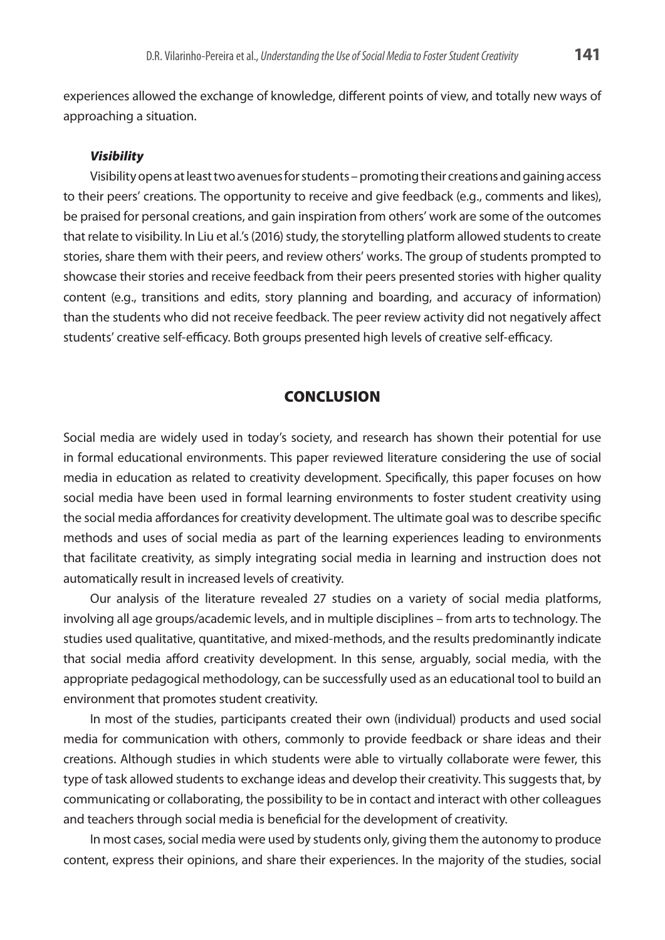experiences allowed the exchange of knowledge, different points of view, and totally new ways of approaching a situation.

### *Visibility*

Visibility opens at least two avenues for students – promoting their creations and gaining access to their peers' creations. The opportunity to receive and give feedback (e.g., comments and likes), be praised for personal creations, and gain inspiration from others' work are some of the outcomes that relate to visibility. In Liu et al.'s (2016) study, the storytelling platform allowed students to create stories, share them with their peers, and review others' works. The group of students prompted to showcase their stories and receive feedback from their peers presented stories with higher quality content (e.g., transitions and edits, story planning and boarding, and accuracy of information) than the students who did not receive feedback. The peer review activity did not negatively affect students' creative self-efficacy. Both groups presented high levels of creative self-efficacy.

# **CONCLUSION**

Social media are widely used in today's society, and research has shown their potential for use in formal educational environments. This paper reviewed literature considering the use of social media in education as related to creativity development. Specifically, this paper focuses on how social media have been used in formal learning environments to foster student creativity using the social media affordances for creativity development. The ultimate goal was to describe specific methods and uses of social media as part of the learning experiences leading to environments that facilitate creativity, as simply integrating social media in learning and instruction does not automatically result in increased levels of creativity.

Our analysis of the literature revealed 27 studies on a variety of social media platforms, involving all age groups/academic levels, and in multiple disciplines – from arts to technology. The studies used qualitative, quantitative, and mixed-methods, and the results predominantly indicate that social media afford creativity development. In this sense, arguably, social media, with the appropriate pedagogical methodology, can be successfully used as an educational tool to build an environment that promotes student creativity.

In most of the studies, participants created their own (individual) products and used social media for communication with others, commonly to provide feedback or share ideas and their creations. Although studies in which students were able to virtually collaborate were fewer, this type of task allowed students to exchange ideas and develop their creativity. This suggests that, by communicating or collaborating, the possibility to be in contact and interact with other colleagues and teachers through social media is beneficial for the development of creativity.

In most cases, social media were used by students only, giving them the autonomy to produce content, express their opinions, and share their experiences. In the majority of the studies, social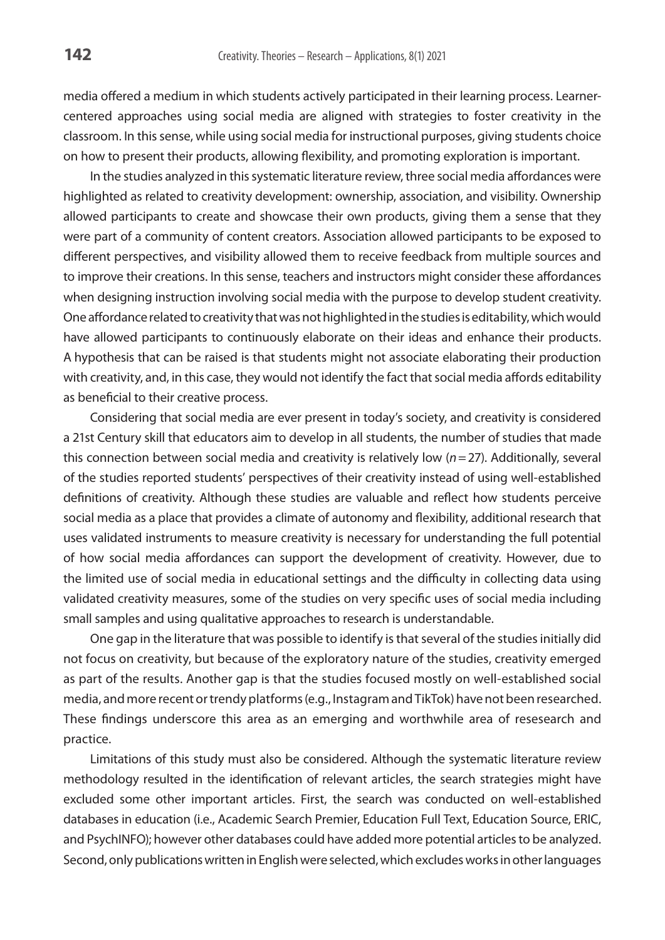media offered a medium in which students actively participated in their learning process. Learnercentered approaches using social media are aligned with strategies to foster creativity in the classroom. In this sense, while using social media for instructional purposes, giving students choice on how to present their products, allowing flexibility, and promoting exploration is important.

In the studies analyzed in this systematic literature review, three social media affordances were highlighted as related to creativity development: ownership, association, and visibility. Ownership allowed participants to create and showcase their own products, giving them a sense that they were part of a community of content creators. Association allowed participants to be exposed to different perspectives, and visibility allowed them to receive feedback from multiple sources and to improve their creations. In this sense, teachers and instructors might consider these affordances when designing instruction involving social media with the purpose to develop student creativity. One affordance related to creativity that was not highlighted in the studies is editability, which would have allowed participants to continuously elaborate on their ideas and enhance their products. A hypothesis that can be raised is that students might not associate elaborating their production with creativity, and, in this case, they would not identify the fact that social media affords editability as beneficial to their creative process.

Considering that social media are ever present in today's society, and creativity is considered a 21st Century skill that educators aim to develop in all students, the number of studies that made this connection between social media and creativity is relatively low (*n*=27). Additionally, several of the studies reported students' perspectives of their creativity instead of using well-established definitions of creativity. Although these studies are valuable and reflect how students perceive social media as a place that provides a climate of autonomy and flexibility, additional research that uses validated instruments to measure creativity is necessary for understanding the full potential of how social media affordances can support the development of creativity. However, due to the limited use of social media in educational settings and the difficulty in collecting data using validated creativity measures, some of the studies on very specific uses of social media including small samples and using qualitative approaches to research is understandable.

One gap in the literature that was possible to identify is that several of the studies initially did not focus on creativity, but because of the exploratory nature of the studies, creativity emerged as part of the results. Another gap is that the studies focused mostly on well-established social media, and more recent or trendy platforms (e.g., Instagram and TikTok) have not been researched. These findings underscore this area as an emerging and worthwhile area of resesearch and practice.

Limitations of this study must also be considered. Although the systematic literature review methodology resulted in the identification of relevant articles, the search strategies might have excluded some other important articles. First, the search was conducted on well-established databases in education (i.e., Academic Search Premier, Education Full Text, Education Source, ERIC, and PsychINFO); however other databases could have added more potential articles to be analyzed. Second, only publications written in English were selected, which excludes works in other languages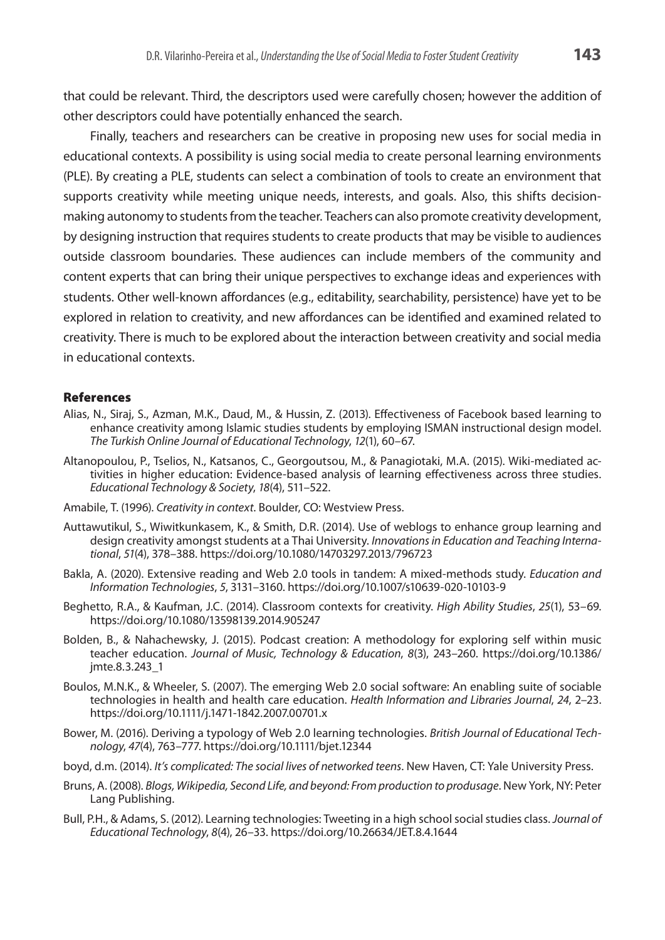that could be relevant. Third, the descriptors used were carefully chosen; however the addition of other descriptors could have potentially enhanced the search.

Finally, teachers and researchers can be creative in proposing new uses for social media in educational contexts. A possibility is using social media to create personal learning environments (PLE). By creating a PLE, students can select a combination of tools to create an environment that supports creativity while meeting unique needs, interests, and goals. Also, this shifts decisionmaking autonomy to students from the teacher. Teachers can also promote creativity development, by designing instruction that requires students to create products that may be visible to audiences outside classroom boundaries. These audiences can include members of the community and content experts that can bring their unique perspectives to exchange ideas and experiences with students. Other well-known affordances (e.g., editability, searchability, persistence) have yet to be explored in relation to creativity, and new affordances can be identified and examined related to creativity. There is much to be explored about the interaction between creativity and social media in educational contexts.

### References

- Alias, N., Siraj, S., Azman, M.K., Daud, M., & Hussin, Z. (2013). Effectiveness of Facebook based learning to enhance creativity among Islamic studies students by employing ISMAN instructional design model. *The Turkish Online Journal of Educational Technology*, *12*(1), 60–67.
- Altanopoulou, P., Tselios, N., Katsanos, C., Georgoutsou, M., & Panagiotaki, M.A. (2015). Wiki-mediated activities in higher education: Evidence-based analysis of learning effectiveness across three studies. *Educational Technology & Society*, *18*(4), 511–522.
- Amabile, T. (1996). *Creativity in context*. Boulder, CO: Westview Press.
- Auttawutikul, S., Wiwitkunkasem, K., & Smith, D.R. (2014). Use of weblogs to enhance group learning and design creativity amongst students at a Thai University. *Innovations in Education and Teaching International*, *51*(4), 378–388.<https://doi.org/10.1080/14703297.2013/796723>
- Bakla, A. (2020). Extensive reading and Web 2.0 tools in tandem: A mixed-methods study. *Education and Information Technologies*, *5*, 3131–3160. <https://doi.org/10.1007/s10639-020-10103-9>
- Beghetto, R.A., & Kaufman, J.C. (2014). Classroom contexts for creativity. *High Ability Studies*, *25*(1), 53–69. [https://doi.org/10.1080/13598139.2014.905247](https://doi.org/10.1108/00012531311330656)
- Bolden, B., & Nahachewsky, J. (2015). Podcast creation: A methodology for exploring self within music teacher education. *Journal of Music, Technology & Education*, *8*(3), 243–260. [https://doi.org/10.1386/](https://doi.org/10.1386/jmte.8.3.243_1) [jmte.8.3.243\\_1](https://doi.org/10.1386/jmte.8.3.243_1)
- Boulos, M.N.K., & Wheeler, S. (2007). The emerging Web 2.0 social software: An enabling suite of sociable technologies in health and health care education. *Health Information and Libraries Journal*, *24*, 2–23. <https://doi.org/10.1111/j.1471-1842.2007.00701.x>
- Bower, M. (2016). Deriving a typology of Web 2.0 learning technologies. *British Journal of Educational Technology*, *47*(4), 763–777. https://doi.org/10.1111/bjet.12344
- boyd, d.m. (2014). *It's complicated: The social lives of networked teens*. New Haven, CT: Yale University Press.
- Bruns, A. (2008). *Blogs, Wikipedia, Second Life, and beyond: From production to produsage*. New York, NY: Peter Lang Publishing.
- Bull, P.H., & Adams, S. (2012). Learning technologies: Tweeting in a high school social studies class. *Journal of Educational Technology*, *8*(4), 26–33. <https://doi.org/10.26634/JET.8.4.1644>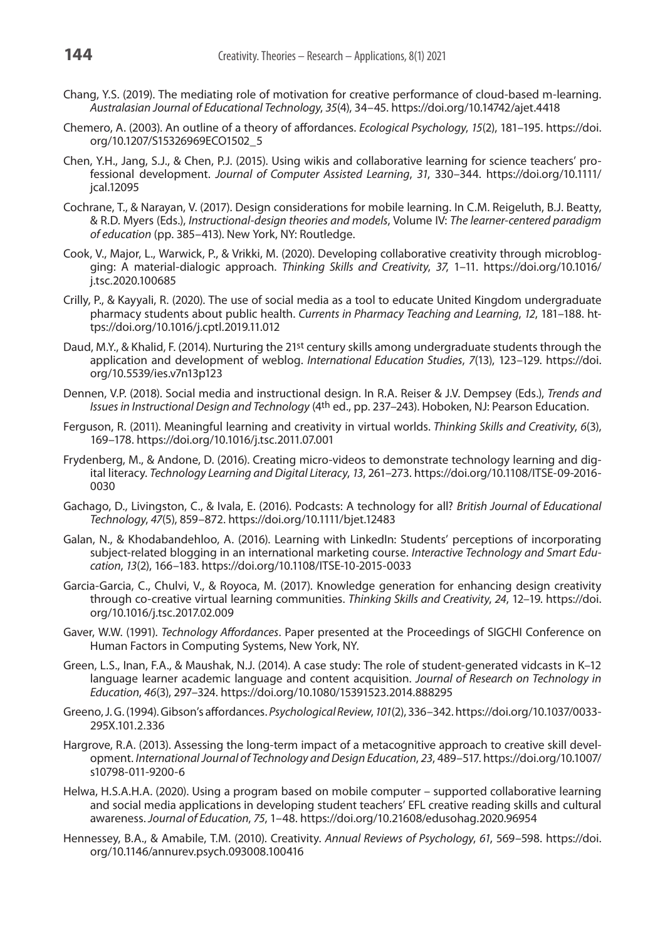- Chang, Y.S. (2019). The mediating role of motivation for creative performance of cloud-based m-learning. *Australasian Journal of Educational Technology*, *35*(4), 34–45.<https://doi.org/10.14742/ajet.4418>
- Chemero, A. (2003). An outline of a theory of affordances. *Ecological Psychology*, *15*(2), 181–195. https://doi. org/10.1207/S15326969ECO1502\_5
- Chen, Y.H., Jang, S.J., & Chen, P.J. (2015). Using wikis and collaborative learning for science teachers' professional development. *Journal of Computer Assisted Learning*, *31*, 330–344. [https://doi.org/10.1111/](https://doi.org/10.1111/jcal.12095) [jcal.12095](https://doi.org/10.1111/jcal.12095)
- Cochrane, T., & Narayan, V. (2017). Design considerations for mobile learning. In C.M. Reigeluth, B.J. Beatty, & R.D. Myers (Eds.), *Instructional-design theories and models*, Volume IV: *The learner-centered paradigm of education* (pp. 385–413). New York, NY: Routledge.
- Cook, V., Major, L., Warwick, P., & Vrikki, M. (2020). Developing collaborative creativity through microblogging: A material-dialogic approach. *Thinking Skills and Creativity*, *37*, 1–11. [https://doi.org/10.1016/](https://doi.org/10.1108/00012531311330656) [j.tsc.2020.100685](https://doi.org/10.1108/00012531311330656)
- Crilly, P., & Kayyali, R. (2020). The use of social media as a tool to educate United Kingdom undergraduate pharmacy students about public health. *Currents in Pharmacy Teaching and Learning*, *12*, 181–188. [ht](https://doi.org/10.1108/00012531311330656)[tps://doi.org/10.1016/j.cptl.2019.11.012](https://doi.org/10.1108/00012531311330656)
- Daud, M.Y., & Khalid, F. (2014). Nurturing the 21st century skills among undergraduate students through the application and development of weblog. *International Education Studies*, *7*(13), 123–129. [https://doi.](https://doi.org/10.1108/00012531311330656) [org/10.5539/ies.v7n13p123](https://doi.org/10.1108/00012531311330656)
- Dennen, V.P. (2018). Social media and instructional design. In R.A. Reiser & J.V. Dempsey (Eds.), *Trends and Issues in Instructional Design and Technology* (4th ed., pp. 237–243). Hoboken, NJ: Pearson Education.
- Ferguson, R. (2011). Meaningful learning and creativity in virtual worlds. *Thinking Skills and Creativity*, *6*(3), 169–178.<https://doi.org/10.1016/j.tsc.2011.07.001>
- Frydenberg, M., & Andone, D. (2016). Creating micro-videos to demonstrate technology learning and digital literacy. *Technology Learning and Digital Literacy*, *13*, 261–273. [https://doi.org/10.1108/ITSE-09-2016-](https://doi.org/10.1108/00012531311330656) [0030](https://doi.org/10.1108/00012531311330656)
- Gachago, D., Livingston, C., & Ivala, E. (2016). Podcasts: A technology for all? *British Journal of Educational Technology*, *47*(5), 859–872.<https://doi.org/10.1111/bjet.12483>
- Galan, N., & Khodabandehloo, A. (2016). Learning with LinkedIn: Students' perceptions of incorporating subject-related blogging in an international marketing course. *Interactive Technology and Smart Education*, *13*(2), 166–183. [https://doi.org/10.1108/ITSE-10-2015-0033](https://doi.org/10.1108/00012531311330656)
- Garcia-Garcia, C., Chulvi, V., & Royoca, M. (2017). Knowledge generation for enhancing design creativity through co-creative virtual learning communities. *Thinking Skills and Creativity*, *24*, 12–19. [https://doi.](https://doi.org/10.1108/00012531311330656) [org/10.1016/j.tsc.2017.02.009](https://doi.org/10.1108/00012531311330656)
- Gaver, W.W. (1991). *Technology Affordances*. Paper presented at the Proceedings of SIGCHI Conference on Human Factors in Computing Systems, New York, NY.
- Green, L.S., Inan, F.A., & Maushak, N.J. (2014). A case study: The role of student-generated vidcasts in K–12 language learner academic language and content acquisition. *Journal of Research on Technology in Education*, *46*(3), 297–324. h[ttps://doi.org/10.1080/15391523.2014.888295](https://doi.org/10.1080/15391523.2014.888295)
- Greeno, J. G. (1994). Gibson's affordances. *Psychological Review*, *101*(2), 336–342. [https://doi.org/10.1037/0033-](https://psycnet.apa.org/doi/10.1037/0033-295X.101.2.336) [295X.101.2.336](https://psycnet.apa.org/doi/10.1037/0033-295X.101.2.336)
- Hargrove, R.A. (2013). Assessing the long-term impact of a metacognitive approach to creative skill development. *International Journal of Technology and Design Education*, *23*, 489–517. [https://doi.org/10.1007/](https://doi.org/10.1007/s10798-011-9200-6) [s10798-011-9200-6](https://doi.org/10.1007/s10798-011-9200-6)
- Helwa, H.S.A.H.A. (2020). Using a program based on mobile computer supported collaborative learning and social media applications in developing student teachers' EFL creative reading skills and cultural awareness. *Journal of Education*, *75*, 1–48. <https://doi.org/10.21608/edusohag.2020.96954>
- Hennessey, B.A., & Amabile, T.M. (2010). Creativity. *Annual Reviews of Psychology*, *61*, 569–598. [https://doi.](https://doi.org/10.1108/00012531311330656) [org/10.1146/annurev.psych.093008.100416](https://doi.org/10.1108/00012531311330656)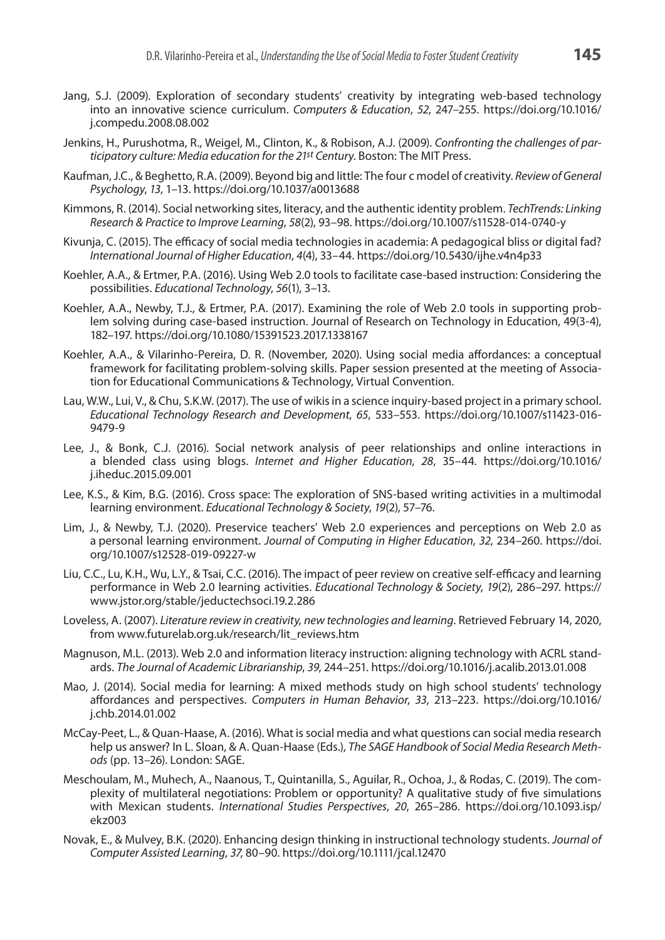- Jang, S.J. (2009). Exploration of secondary students' creativity by integrating web-based technology into an innovative science curriculum. *Computers & Education*, *52*, 247–255. [https://doi.org/10.1016/](https://doi.org/10.1108/00012531311330656) [j.compedu.2008.08.002](https://doi.org/10.1108/00012531311330656)
- Jenkins, H., Purushotma, R., Weigel, M., Clinton, K., & Robison, A.J. (2009). *Confronting the challenges of participatory culture: Media education for the 21st Century*. Boston: The MIT Press.
- Kaufman, J.C., & Beghetto, R.A. (2009). Beyond big and little: The four c model of creativity. *Review of General Psychology*, *13*, 1–13. [https://doi.org/10.1037/a0013688](https://doi.org/10.1037%2Fa0013688)
- Kimmons, R. (2014). Social networking sites, literacy, and the authentic identity problem. *TechTrends: Linking Research & Practice to Improve Learning*, *58*(2), 93–98. <https://doi.org/10.1007/s11528-014-0740-y>
- Kivunja, C. (2015). The efficacy of social media technologies in academia: A pedagogical bliss or digital fad? *International Journal of Higher Education*, *4*(4), 33–44. <https://doi.org/10.5430/ijhe.v4n4p33>
- Koehler, A.A., & Ertmer, P.A. (2016). Using Web 2.0 tools to facilitate case-based instruction: Considering the possibilities. *Educational Technology*, *56*(1), 3–13.
- Koehler, A.A., Newby, T.J., & Ertmer, P.A. (2017). Examining the role of Web 2.0 tools in supporting problem solving during case-based instruction. Journal of Research on Technology in Education, 49(3-4), 182–197. [https://doi.org/10.1080/15391523.2017.1338167](https://doi.org/10.1108/00012531311330656)
- Koehler, A.A., & Vilarinho-Pereira, D. R. (November, 2020). Using social media affordances: a conceptual framework for facilitating problem-solving skills. Paper session presented at the meeting of Association for Educational Communications & Technology, Virtual Convention.
- Lau, W.W., Lui, V., & Chu, S.K.W. (2017). The use of wikis in a science inquiry-based project in a primary school. *Educational Technology Research and Development*, *65*, 533–553. [https://doi.org/10.1007/s11423-016-](https://doi.org/10.1007/s11423-016-9479-9) [9479-9](https://doi.org/10.1007/s11423-016-9479-9)
- Lee, J., & Bonk, C.J. (2016). Social network analysis of peer relationships and online interactions in a blended class using blogs. *Internet and Higher Education*, *28*, 35–44. [https://doi.org/10.1016/](https://doi.org/10.1108/00012531311330656) [j.iheduc.2015.09.001](https://doi.org/10.1108/00012531311330656)
- Lee, K.S., & Kim, B.G. (2016). Cross space: The exploration of SNS-based writing activities in a multimodal learning environment. *Educational Technology & Society*, *19*(2), 57–76.
- Lim, J., & Newby, T.J. (2020). Preservice teachers' Web 2.0 experiences and perceptions on Web 2.0 as a personal learning environment. *Journal of Computing in Higher Education*, *32*, 234–260. [https://doi.](https://doi.org/10.1007/s12528-019-09227-w) [org/10.1007/s12528-019-09227-w](https://doi.org/10.1007/s12528-019-09227-w)
- Liu, C.C., Lu, K.H., Wu, L.Y., & Tsai, C.C. (2016). The impact of peer review on creative self-efficacy and learning performance in Web 2.0 learning activities. *Educational Technology & Society*, *19*(2), 286–297. [https://](https://www.jstor.org/stable/jeductechsoci.19.2.286) [www.jstor.org/stable/jeductechsoci.19.2.286](https://www.jstor.org/stable/jeductechsoci.19.2.286)
- Loveless, A. (2007). *Literature review in creativity, new technologies and learning*. Retrieved February 14, 2020, from [www.futurelab.org.uk/research/lit\\_reviews.htm](http://www.futurelab.org.uk/research/lit_reviews.htm)
- Magnuson, M.L. (2013). Web 2.0 and information literacy instruction: aligning technology with ACRL standards. *The Journal of Academic Librarianship*, *39*, 244–251. <https://doi.org/10.1016/j.acalib.2013.01.008>
- Mao, J. (2014). Social media for learning: A mixed methods study on high school students' technology affordances and perspectives. *Computers in Human Behavior*, *33*, 213–223. [https://doi.org/10.1016/](https://doi.org/10.1108/00012531311330656) [j.chb.2014.01.002](https://doi.org/10.1108/00012531311330656)
- McCay-Peet, L., & Quan-Haase, A. (2016). What is social media and what questions can social media research help us answer? In L. Sloan, & A. Quan-Haase (Eds.), *The SAGE Handbook of Social Media Research Methods* (pp. 13–26). London: SAGE.
- Meschoulam, M., Muhech, A., Naanous, T., Quintanilla, S., Aguilar, R., Ochoa, J., & Rodas, C. (2019). The complexity of multilateral negotiations: Problem or opportunity? A qualitative study of five simulations with Mexican students. *International Studies Perspectives*, *20*, 265–286. [https://doi.org/10.1093.isp/](https://doi.org/10.1108/00012531311330656) [ekz003](https://doi.org/10.1108/00012531311330656)
- Novak, E., & Mulvey, B.K. (2020). Enhancing design thinking in instructional technology students. *Journal of Computer Assisted Learning*, *37*, 80–90. https://doi.org/10.1111/jcal.12470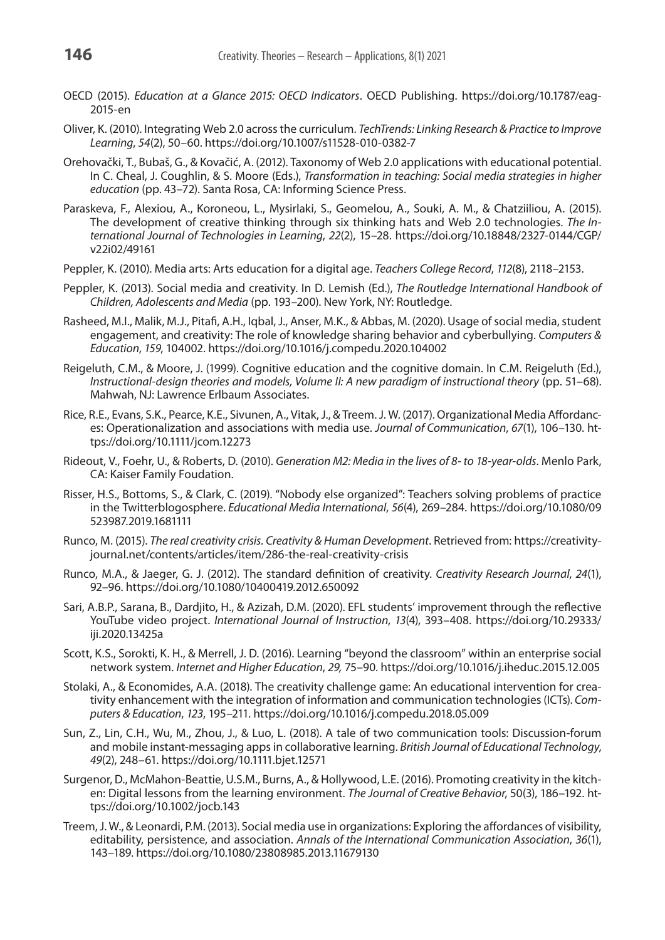- OECD (2015). *Education at a Glance 2015: OECD Indicators*. OECD Publishing. [https://doi.org/10.1787/eag-](https://doi.org/10.1787/eag-2015-en)[2015-en](https://doi.org/10.1787/eag-2015-en)
- Oliver, K. (2010). Integrating Web 2.0 across the curriculum. *TechTrends: Linking Research & Practice to Improve Learning*, *54*(2), 50–60. <https://doi.org/10.1007/s11528-010-0382-7>
- Orehovački, T., Bubaš, G., & Kovačić, A. (2012). Taxonomy of Web 2.0 applications with educational potential. In C. Cheal, J. Coughlin, & S. Moore (Eds.), *Transformation in teaching: Social media strategies in higher education* (pp. 43–72). Santa Rosa, CA: Informing Science Press.
- Paraskeva, F., Alexiou, A., Koroneou, L., Mysirlaki, S., Geomelou, A., Souki, A. M., & Chatziiliou, A. (2015). The development of creative thinking through six thinking hats and Web 2.0 technologies. *The International Journal of Technologies in Learning*, *22*(2), 15–28. [https://doi.org/10.18848/2327-0144/CGP/](https://doi.org/10.18848/2327-0144/CGP/v22i02/49161) [v22i02/49161](https://doi.org/10.18848/2327-0144/CGP/v22i02/49161)
- Peppler, K. (2010). Media arts: Arts education for a digital age. *Teachers College Record*, *112*(8), 2118–2153.
- Peppler, K. (2013). Social media and creativity. In D. Lemish (Ed.), *The Routledge International Handbook of Children, Adolescents and Media* (pp. 193–200). New York, NY: Routledge.
- Rasheed, M.I., Malik, M.J., Pitafi, A.H., Iqbal, J., Anser, M.K., & Abbas, M. (2020). Usage of social media, student engagement, and creativity: The role of knowledge sharing behavior and cyberbullying. *Computers & Education*, *159*, 104002. [https://doi.org/10.1016/j.compedu.2020.104002](https://doi.org/10.1108/00012531311330656)
- Reigeluth, C.M., & Moore, J. (1999). Cognitive education and the cognitive domain. In C.M. Reigeluth (Ed.), *Instructional-design theories and models, Volume II: A new paradigm of instructional theory* (pp. 51–68). Mahwah, NJ: Lawrence Erlbaum Associates.
- Rice, R.E., Evans, S.K., Pearce, K.E., Sivunen, A., Vitak, J., & Treem. J. W. (2017). Organizational Media Affordances: Operationalization and associations with media use. *Journal of Communication*, *67*(1), 106–130. [ht](https://doi.org/10.1111/jcom.12273)[tps://doi.org/10.1111/jcom.12273](https://doi.org/10.1111/jcom.12273)
- Rideout, V., Foehr, U., & Roberts, D. (2010). *Generation M2: Media in the lives of 8- to 18-year-olds*. Menlo Park, CA: Kaiser Family Foudation.
- Risser, H.S., Bottoms, S., & Clark, C. (2019). "Nobody else organized": Teachers solving problems of practice in the Twitterblogosphere. *Educational Media International*, *56*(4), 269–284. [https://doi.org/10.1080/09](https://doi.org/10.1080/09523987.2019.1681111) [523987.2019.1681111](https://doi.org/10.1080/09523987.2019.1681111)
- Runco, M. (2015). *The real creativity crisis. Creativity & Human Development*. Retrieved from: [https://creativity](https://creativityjournal.net/contents/articles/item/286-the-real-creativity-crisis)[journal.net/contents/articles/item/286-the-real-creativity-crisis](https://creativityjournal.net/contents/articles/item/286-the-real-creativity-crisis)
- Runco, M.A., & Jaeger, G. J. (2012). The standard definition of creativity. *Creativity Research Journal*, *24*(1), 92–96. <https://doi.org/10.1080/10400419.2012.650092>
- Sari, A.B.P., Sarana, B., Dardjito, H., & Azizah, D.M. (2020). EFL students' improvement through the reflective YouTube video project. *International Journal of Instruction*, *13*(4), 393–408. [https://doi.org/10.29333/](https://doi.org/10.1108/00012531311330656) [iji.2020.13425a](https://doi.org/10.1108/00012531311330656)
- Scott, K.S., Sorokti, K. H., & Merrell, J. D. (2016). Learning "beyond the classroom" within an enterprise social network system. *Internet and Higher Education*, *29,* 75–90. https://doi.org/10.1016/j.iheduc.2015.12.005
- Stolaki, A., & Economides, A.A. (2018). The creativity challenge game: An educational intervention for creativity enhancement with the integration of information and communication technologies (ICTs). *Computers & Education*, *123*, 195–211. https://doi.org/10.1016/j.compedu.2018.05.009
- Sun, Z., Lin, C.H., Wu, M., Zhou, J., & Luo, L. (2018). A tale of two communication tools: Discussion-forum and mobile instant-messaging apps in collaborative learning. *British Journal of Educational Technology*, *49*(2), 248–61. https://doi.org/10.1111.bjet.12571
- Surgenor, D., McMahon-Beattie, U.S.M., Burns, A., & Hollywood, L.E. (2016). Promoting creativity in the kitchen: Digital lessons from the learning environment. *The Journal of Creative Behavior*, 50(3), 186–192. [ht](https://doi.org/10.1002/jocb.143)[tps://doi.org/10.1002/jocb.143](https://doi.org/10.1002/jocb.143)
- Treem, J. W., & Leonardi, P.M. (2013). Social media use in organizations: Exploring the affordances of visibility, editabili[ty](https://doi.org/10.1080/23808985.2013.11679130), persistence, and association. *Annals of the International Communication Association*, *36*(1), 143–189. <https://doi.org/10.1080/23808985.2013.11679130>